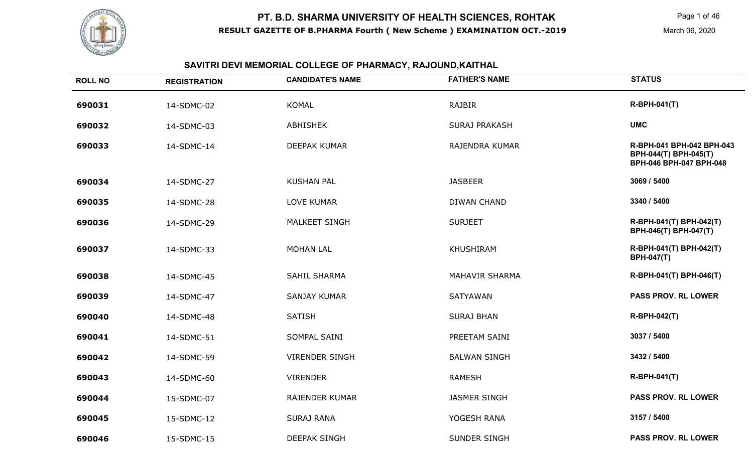

#### **SAVITRI DEVI MEMORIAL COLLEGE OF PHARMACY, RAJOUND,KAITHAL**

| <b>ROLL NO</b> | <b>REGISTRATION</b> | <b>CANDIDATE'S NAME</b> | <b>FATHER'S NAME</b>  | <b>STATUS</b>                                                                 |
|----------------|---------------------|-------------------------|-----------------------|-------------------------------------------------------------------------------|
| 690031         | 14-SDMC-02          | <b>KOMAL</b>            | <b>RAJBIR</b>         | <b>R-BPH-041(T)</b>                                                           |
| 690032         | 14-SDMC-03          | <b>ABHISHEK</b>         | <b>SURAJ PRAKASH</b>  | <b>UMC</b>                                                                    |
| 690033         | 14-SDMC-14          | DEEPAK KUMAR            | RAJENDRA KUMAR        | R-BPH-041 BPH-042 BPH-043<br>BPH-044(T) BPH-045(T)<br>BPH-046 BPH-047 BPH-048 |
| 690034         | 14-SDMC-27          | <b>KUSHAN PAL</b>       | <b>JASBEER</b>        | 3069 / 5400                                                                   |
| 690035         | 14-SDMC-28          | <b>LOVE KUMAR</b>       | <b>DIWAN CHAND</b>    | 3340 / 5400                                                                   |
| 690036         | 14-SDMC-29          | <b>MALKEET SINGH</b>    | <b>SURJEET</b>        | R-BPH-041(T) BPH-042(T)<br>BPH-046(T) BPH-047(T)                              |
| 690037         | 14-SDMC-33          | <b>MOHAN LAL</b>        | <b>KHUSHIRAM</b>      | R-BPH-041(T) BPH-042(T)<br><b>BPH-047(T)</b>                                  |
| 690038         | 14-SDMC-45          | <b>SAHIL SHARMA</b>     | <b>MAHAVIR SHARMA</b> | R-BPH-041(T) BPH-046(T)                                                       |
| 690039         | 14-SDMC-47          | <b>SANJAY KUMAR</b>     | <b>SATYAWAN</b>       | PASS PROV. RL LOWER                                                           |
| 690040         | 14-SDMC-48          | <b>SATISH</b>           | <b>SURAJ BHAN</b>     | <b>R-BPH-042(T)</b>                                                           |
| 690041         | 14-SDMC-51          | SOMPAL SAINI            | PREETAM SAINI         | 3037 / 5400                                                                   |
| 690042         | 14-SDMC-59          | <b>VIRENDER SINGH</b>   | <b>BALWAN SINGH</b>   | 3432 / 5400                                                                   |
| 690043         | 14-SDMC-60          | <b>VIRENDER</b>         | <b>RAMESH</b>         | R-BPH-041(T)                                                                  |
| 690044         | 15-SDMC-07          | <b>RAJENDER KUMAR</b>   | <b>JASMER SINGH</b>   | <b>PASS PROV. RL LOWER</b>                                                    |
| 690045         | 15-SDMC-12          | <b>SURAJ RANA</b>       | YOGESH RANA           | 3157 / 5400                                                                   |
| 690046         | 15-SDMC-15          | <b>DEEPAK SINGH</b>     | SUNDER SINGH          | <b>PASS PROV. RL LOWER</b>                                                    |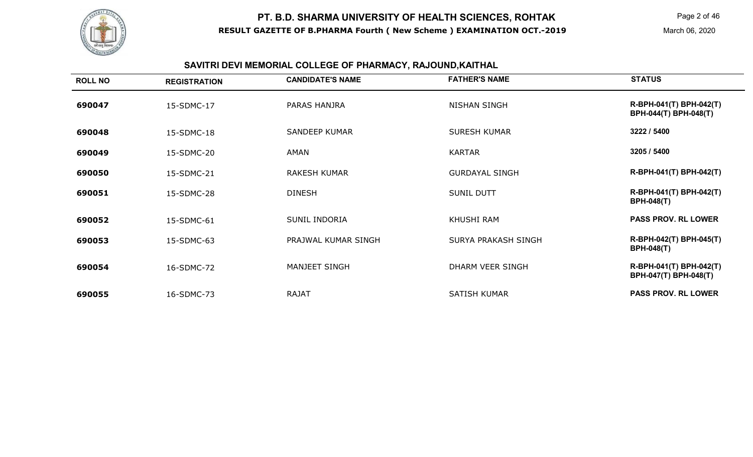

## **SAVITRI DEVI MEMORIAL COLLEGE OF PHARMACY, RAJOUND,KAITHAL**

| <b>ROLL NO</b> | <b>REGISTRATION</b> | <b>CANDIDATE'S NAME</b> | <b>FATHER'S NAME</b>       | <b>STATUS</b>                                           |
|----------------|---------------------|-------------------------|----------------------------|---------------------------------------------------------|
| 690047         | 15-SDMC-17          | PARAS HANJRA            | <b>NISHAN SINGH</b>        | R-BPH-041(T) BPH-042(T)<br><b>BPH-044(T) BPH-048(T)</b> |
| 690048         | 15-SDMC-18          | <b>SANDEEP KUMAR</b>    | <b>SURESH KUMAR</b>        | 3222 / 5400                                             |
| 690049         | 15-SDMC-20          | AMAN                    | <b>KARTAR</b>              | 3205 / 5400                                             |
| 690050         | 15-SDMC-21          | <b>RAKESH KUMAR</b>     | <b>GURDAYAL SINGH</b>      | R-BPH-041(T) BPH-042(T)                                 |
| 690051         | 15-SDMC-28          | <b>DINESH</b>           | <b>SUNIL DUTT</b>          | R-BPH-041(T) BPH-042(T)<br><b>BPH-048(T)</b>            |
| 690052         | 15-SDMC-61          | <b>SUNIL INDORIA</b>    | KHUSHI RAM                 | <b>PASS PROV. RL LOWER</b>                              |
| 690053         | 15-SDMC-63          | PRAJWAL KUMAR SINGH     | <b>SURYA PRAKASH SINGH</b> | R-BPH-042(T) BPH-045(T)<br><b>BPH-048(T)</b>            |
| 690054         | 16-SDMC-72          | MANJEET SINGH           | DHARM VEER SINGH           | R-BPH-041(T) BPH-042(T)<br>BPH-047(T) BPH-048(T)        |
| 690055         | 16-SDMC-73          | <b>RAJAT</b>            | <b>SATISH KUMAR</b>        | <b>PASS PROV. RL LOWER</b>                              |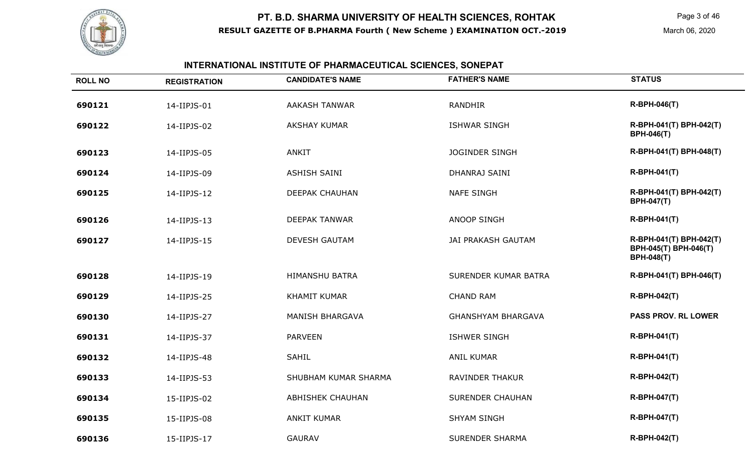

## **INTERNATIONAL INSTITUTE OF PHARMACEUTICAL SCIENCES, SONEPAT**

| <b>ROLL NO</b> | <b>REGISTRATION</b> | <b>CANDIDATE'S NAME</b> | <b>FATHER'S NAME</b>        | <b>STATUS</b>                                                         |
|----------------|---------------------|-------------------------|-----------------------------|-----------------------------------------------------------------------|
| 690121         | 14-IIPJS-01         | <b>AAKASH TANWAR</b>    | <b>RANDHIR</b>              | <b>R-BPH-046(T)</b>                                                   |
| 690122         | 14-IIPJS-02         | <b>AKSHAY KUMAR</b>     | <b>ISHWAR SINGH</b>         | R-BPH-041(T) BPH-042(T)<br><b>BPH-046(T)</b>                          |
| 690123         | 14-IIPJS-05         | <b>ANKIT</b>            | <b>JOGINDER SINGH</b>       | R-BPH-041(T) BPH-048(T)                                               |
| 690124         | 14-IIPJS-09         | <b>ASHISH SAINI</b>     | DHANRAJ SAINI               | <b>R-BPH-041(T)</b>                                                   |
| 690125         | 14-IIPJS-12         | DEEPAK CHAUHAN          | <b>NAFE SINGH</b>           | R-BPH-041(T) BPH-042(T)<br><b>BPH-047(T)</b>                          |
| 690126         | 14-IIPJS-13         | <b>DEEPAK TANWAR</b>    | <b>ANOOP SINGH</b>          | R-BPH-041(T)                                                          |
| 690127         | 14-IIPJS-15         | <b>DEVESH GAUTAM</b>    | <b>JAI PRAKASH GAUTAM</b>   | R-BPH-041(T) BPH-042(T)<br>BPH-045(T) BPH-046(T)<br><b>BPH-048(T)</b> |
| 690128         | 14-IIPJS-19         | <b>HIMANSHU BATRA</b>   | <b>SURENDER KUMAR BATRA</b> | R-BPH-041(T) BPH-046(T)                                               |
| 690129         | 14-IIPJS-25         | <b>KHAMIT KUMAR</b>     | <b>CHAND RAM</b>            | R-BPH-042(T)                                                          |
| 690130         | 14-IIPJS-27         | <b>MANISH BHARGAVA</b>  | <b>GHANSHYAM BHARGAVA</b>   | <b>PASS PROV. RL LOWER</b>                                            |
| 690131         | 14-IIPJS-37         | <b>PARVEEN</b>          | <b>ISHWER SINGH</b>         | <b>R-BPH-041(T)</b>                                                   |
| 690132         | 14-IIPJS-48         | <b>SAHIL</b>            | <b>ANIL KUMAR</b>           | <b>R-BPH-041(T)</b>                                                   |
| 690133         | 14-IIPJS-53         | SHUBHAM KUMAR SHARMA    | <b>RAVINDER THAKUR</b>      | <b>R-BPH-042(T)</b>                                                   |
| 690134         | 15-IIPJS-02         | <b>ABHISHEK CHAUHAN</b> | <b>SURENDER CHAUHAN</b>     | <b>R-BPH-047(T)</b>                                                   |
| 690135         | 15-IIPJS-08         | <b>ANKIT KUMAR</b>      | <b>SHYAM SINGH</b>          | <b>R-BPH-047(T)</b>                                                   |
| 690136         | 15-IIPJS-17         | <b>GAURAV</b>           | <b>SURENDER SHARMA</b>      | R-BPH-042(T)                                                          |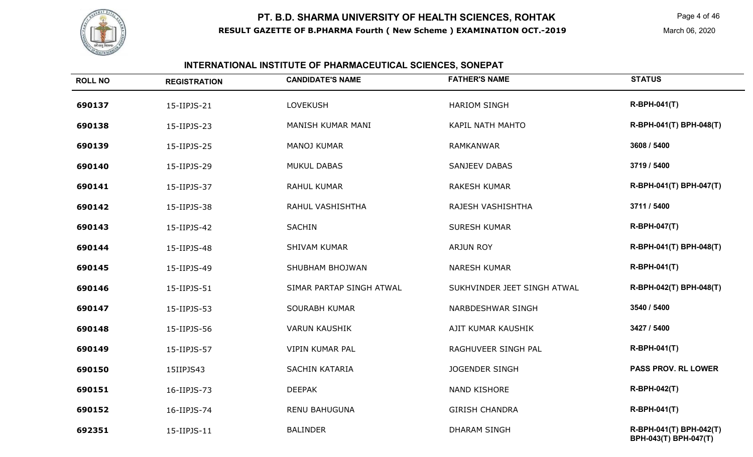

#### **INTERNATIONAL INSTITUTE OF PHARMACEUTICAL SCIENCES, SONEPAT**

| <b>ROLL NO</b> | <b>REGISTRATION</b> | <b>CANDIDATE'S NAME</b>  | <b>FATHER'S NAME</b>        | <b>STATUS</b>                                    |
|----------------|---------------------|--------------------------|-----------------------------|--------------------------------------------------|
| 690137         | 15-IIPJS-21         | <b>LOVEKUSH</b>          | <b>HARIOM SINGH</b>         | <b>R-BPH-041(T)</b>                              |
| 690138         | 15-IIPJS-23         | MANISH KUMAR MANI        | KAPIL NATH MAHTO            | R-BPH-041(T) BPH-048(T)                          |
| 690139         | 15-IIPJS-25         | MANOJ KUMAR              | <b>RAMKANWAR</b>            | 3608 / 5400                                      |
| 690140         | 15-IIPJS-29         | <b>MUKUL DABAS</b>       | <b>SANJEEV DABAS</b>        | 3719 / 5400                                      |
| 690141         | 15-IIPJS-37         | RAHUL KUMAR              | <b>RAKESH KUMAR</b>         | R-BPH-041(T) BPH-047(T)                          |
| 690142         | 15-IIPJS-38         | RAHUL VASHISHTHA         | RAJESH VASHISHTHA           | 3711 / 5400                                      |
| 690143         | 15-IIPJS-42         | <b>SACHIN</b>            | <b>SURESH KUMAR</b>         | <b>R-BPH-047(T)</b>                              |
| 690144         | 15-IIPJS-48         | SHIVAM KUMAR             | <b>ARJUN ROY</b>            | R-BPH-041(T) BPH-048(T)                          |
| 690145         | 15-IIPJS-49         | SHUBHAM BHOJWAN          | <b>NARESH KUMAR</b>         | <b>R-BPH-041(T)</b>                              |
| 690146         | 15-IIPJS-51         | SIMAR PARTAP SINGH ATWAL | SUKHVINDER JEET SINGH ATWAL | R-BPH-042(T) BPH-048(T)                          |
| 690147         | 15-IIPJS-53         | <b>SOURABH KUMAR</b>     | NARBDESHWAR SINGH           | 3540 / 5400                                      |
| 690148         | 15-IIPJS-56         | <b>VARUN KAUSHIK</b>     | AJIT KUMAR KAUSHIK          | 3427 / 5400                                      |
| 690149         | 15-IIPJS-57         | VIPIN KUMAR PAL          | RAGHUVEER SINGH PAL         | <b>R-BPH-041(T)</b>                              |
| 690150         | 15IIPJS43           | SACHIN KATARIA           | <b>JOGENDER SINGH</b>       | <b>PASS PROV. RL LOWER</b>                       |
| 690151         | 16-IIPJS-73         | <b>DEEPAK</b>            | NAND KISHORE                | <b>R-BPH-042(T)</b>                              |
| 690152         | 16-IIPJS-74         | <b>RENU BAHUGUNA</b>     | <b>GIRISH CHANDRA</b>       | <b>R-BPH-041(T)</b>                              |
| 692351         | 15-IIPJS-11         | <b>BALINDER</b>          | <b>DHARAM SINGH</b>         | R-BPH-041(T) BPH-042(T)<br>BPH-043(T) BPH-047(T) |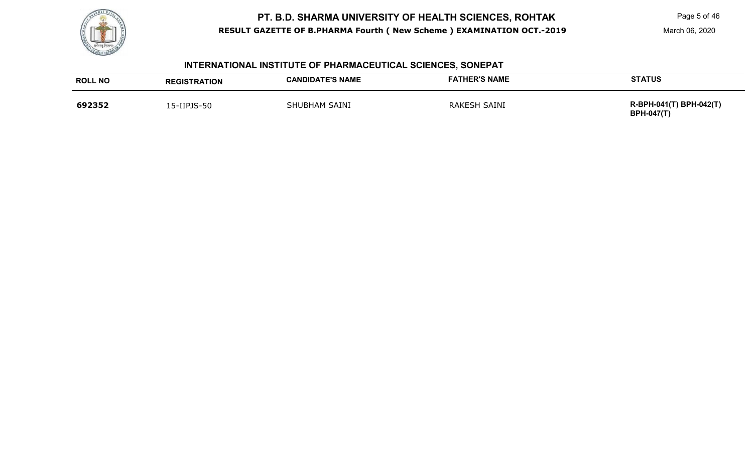

Page 5 of 46

March 06, 2020

## **INTERNATIONAL INSTITUTE OF PHARMACEUTICAL SCIENCES, SONEPAT**

| <b>ROLL NO</b> | <b>REGISTRATION</b> | <b>CANDIDATE'S NAME</b> | <b>FATHER'S NAME</b> | <b>STATUS</b>                                |
|----------------|---------------------|-------------------------|----------------------|----------------------------------------------|
| 692352         | L5-IIPJS-50         | <b>SHUBHAM SAINI</b>    | <b>RAKESH SAINI</b>  | R-BPH-041(T) BPH-042(T)<br><b>BPH-047(T)</b> |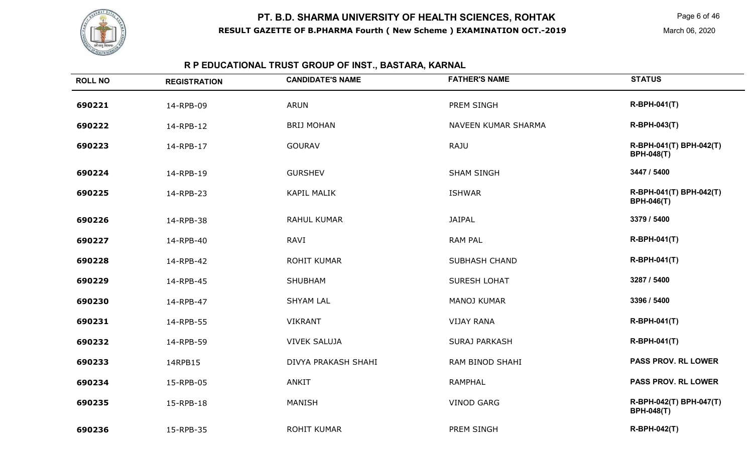

Page 6 of 46

March 06, 2020

# **R P EDUCATIONAL TRUST GROUP OF INST., BASTARA, KARNAL**

| <b>ROLL NO</b> | <b>REGISTRATION</b> | <b>CANDIDATE'S NAME</b> | <b>FATHER'S NAME</b> | <b>STATUS</b>                                |
|----------------|---------------------|-------------------------|----------------------|----------------------------------------------|
| 690221         | 14-RPB-09           | <b>ARUN</b>             | PREM SINGH           | <b>R-BPH-041(T)</b>                          |
| 690222         | 14-RPB-12           | <b>BRIJ MOHAN</b>       | NAVEEN KUMAR SHARMA  | <b>R-BPH-043(T)</b>                          |
| 690223         | 14-RPB-17           | <b>GOURAV</b>           | <b>RAJU</b>          | R-BPH-041(T) BPH-042(T)<br><b>BPH-048(T)</b> |
| 690224         | 14-RPB-19           | <b>GURSHEV</b>          | <b>SHAM SINGH</b>    | 3447 / 5400                                  |
| 690225         | 14-RPB-23           | <b>KAPIL MALIK</b>      | <b>ISHWAR</b>        | R-BPH-041(T) BPH-042(T)<br><b>BPH-046(T)</b> |
| 690226         | 14-RPB-38           | <b>RAHUL KUMAR</b>      | <b>JAIPAL</b>        | 3379 / 5400                                  |
| 690227         | 14-RPB-40           | RAVI                    | <b>RAM PAL</b>       | <b>R-BPH-041(T)</b>                          |
| 690228         | 14-RPB-42           | <b>ROHIT KUMAR</b>      | <b>SUBHASH CHAND</b> | <b>R-BPH-041(T)</b>                          |
| 690229         | 14-RPB-45           | SHUBHAM                 | SURESH LOHAT         | 3287 / 5400                                  |
| 690230         | 14-RPB-47           | <b>SHYAM LAL</b>        | <b>MANOJ KUMAR</b>   | 3396 / 5400                                  |
| 690231         | 14-RPB-55           | <b>VIKRANT</b>          | <b>VIJAY RANA</b>    | <b>R-BPH-041(T)</b>                          |
| 690232         | 14-RPB-59           | <b>VIVEK SALUJA</b>     | <b>SURAJ PARKASH</b> | <b>R-BPH-041(T)</b>                          |
| 690233         | 14RPB15             | DIVYA PRAKASH SHAHI     | RAM BINOD SHAHI      | PASS PROV. RL LOWER                          |
| 690234         | 15-RPB-05           | ANKIT                   | <b>RAMPHAL</b>       | <b>PASS PROV. RL LOWER</b>                   |
| 690235         | 15-RPB-18           | <b>MANISH</b>           | <b>VINOD GARG</b>    | R-BPH-042(T) BPH-047(T)<br><b>BPH-048(T)</b> |
| 690236         | 15-RPB-35           | <b>ROHIT KUMAR</b>      | PREM SINGH           | <b>R-BPH-042(T)</b>                          |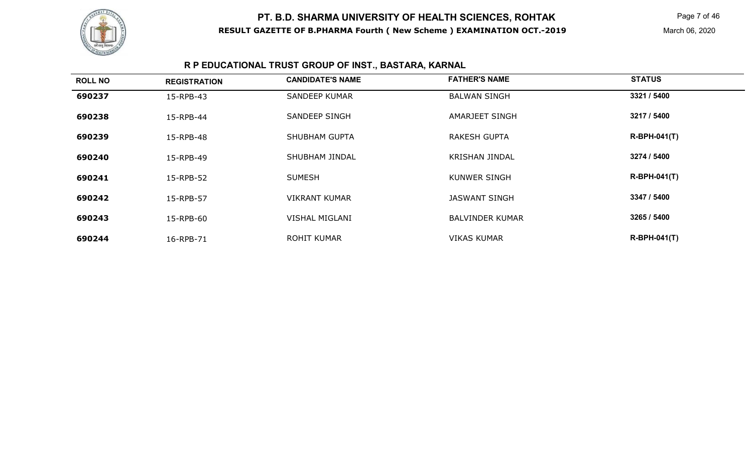

Page 7 of 46

## **R P EDUCATIONAL TRUST GROUP OF INST., BASTARA, KARNAL**

| <b>ROLL NO</b> | <b>REGISTRATION</b> | <b>CANDIDATE'S NAME</b> | <b>FATHER'S NAME</b>   | <b>STATUS</b>  |
|----------------|---------------------|-------------------------|------------------------|----------------|
| 690237         | 15-RPB-43           | <b>SANDEEP KUMAR</b>    | <b>BALWAN SINGH</b>    | 3321 / 5400    |
| 690238         | 15-RPB-44           | SANDEEP SINGH           | AMARJEET SINGH         | 3217 / 5400    |
| 690239         | 15-RPB-48           | SHUBHAM GUPTA           | <b>RAKESH GUPTA</b>    | $R-BPH-041(T)$ |
| 690240         | 15-RPB-49           | SHUBHAM JINDAL          | <b>KRISHAN JINDAL</b>  | 3274 / 5400    |
| 690241         | 15-RPB-52           | <b>SUMESH</b>           | <b>KUNWER SINGH</b>    | $R-BPH-041(T)$ |
| 690242         | 15-RPB-57           | <b>VIKRANT KUMAR</b>    | <b>JASWANT SINGH</b>   | 3347 / 5400    |
| 690243         | 15-RPB-60           | <b>VISHAL MIGLANI</b>   | <b>BALVINDER KUMAR</b> | 3265 / 5400    |
| 690244         | 16-RPB-71           | <b>ROHIT KUMAR</b>      | <b>VIKAS KUMAR</b>     | $R-BPH-041(T)$ |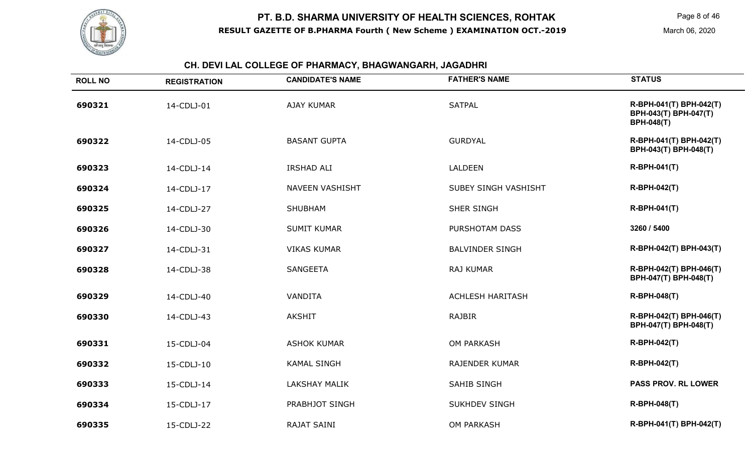

#### **CH. DEVI LAL COLLEGE OF PHARMACY, BHAGWANGARH, JAGADHRI**

| <b>ROLL NO</b> | <b>REGISTRATION</b> | <b>CANDIDATE'S NAME</b> | <b>FATHER'S NAME</b>    | <b>STATUS</b>                                                         |
|----------------|---------------------|-------------------------|-------------------------|-----------------------------------------------------------------------|
| 690321         | 14-CDLJ-01          | <b>AJAY KUMAR</b>       | <b>SATPAL</b>           | R-BPH-041(T) BPH-042(T)<br>BPH-043(T) BPH-047(T)<br><b>BPH-048(T)</b> |
| 690322         | 14-CDLJ-05          | <b>BASANT GUPTA</b>     | <b>GURDYAL</b>          | R-BPH-041(T) BPH-042(T)<br>BPH-043(T) BPH-048(T)                      |
| 690323         | 14-CDLJ-14          | <b>IRSHAD ALI</b>       | LALDEEN                 | <b>R-BPH-041(T)</b>                                                   |
| 690324         | 14-CDLJ-17          | <b>NAVEEN VASHISHT</b>  | SUBEY SINGH VASHISHT    | <b>R-BPH-042(T)</b>                                                   |
| 690325         | 14-CDLJ-27          | <b>SHUBHAM</b>          | SHER SINGH              | <b>R-BPH-041(T)</b>                                                   |
| 690326         | 14-CDLJ-30          | <b>SUMIT KUMAR</b>      | PURSHOTAM DASS          | 3260 / 5400                                                           |
| 690327         | 14-CDLJ-31          | <b>VIKAS KUMAR</b>      | <b>BALVINDER SINGH</b>  | R-BPH-042(T) BPH-043(T)                                               |
| 690328         | 14-CDLJ-38          | <b>SANGEETA</b>         | <b>RAJ KUMAR</b>        | R-BPH-042(T) BPH-046(T)<br>BPH-047(T) BPH-048(T)                      |
| 690329         | 14-CDLJ-40          | <b>VANDITA</b>          | <b>ACHLESH HARITASH</b> | <b>R-BPH-048(T)</b>                                                   |
| 690330         | 14-CDLJ-43          | <b>AKSHIT</b>           | <b>RAJBIR</b>           | R-BPH-042(T) BPH-046(T)<br>BPH-047(T) BPH-048(T)                      |
| 690331         | 15-CDLJ-04          | <b>ASHOK KUMAR</b>      | <b>OM PARKASH</b>       | <b>R-BPH-042(T)</b>                                                   |
| 690332         | 15-CDLJ-10          | <b>KAMAL SINGH</b>      | <b>RAJENDER KUMAR</b>   | <b>R-BPH-042(T)</b>                                                   |
| 690333         | 15-CDLJ-14          | <b>LAKSHAY MALIK</b>    | <b>SAHIB SINGH</b>      | <b>PASS PROV. RL LOWER</b>                                            |
| 690334         | 15-CDLJ-17          | PRABHJOT SINGH          | <b>SUKHDEV SINGH</b>    | <b>R-BPH-048(T)</b>                                                   |
| 690335         | 15-CDLJ-22          | <b>RAJAT SAINI</b>      | <b>OM PARKASH</b>       | R-BPH-041(T) BPH-042(T)                                               |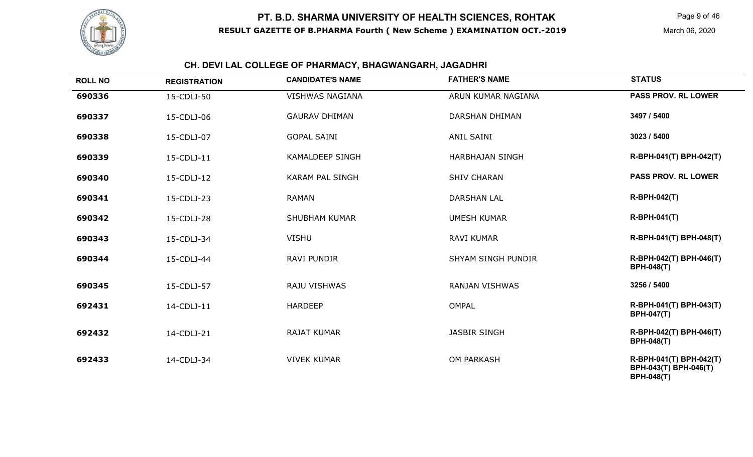

Page 9 of 46

March 06, 2020

#### **CH. DEVI LAL COLLEGE OF PHARMACY, BHAGWANGARH, JAGADHRI**

| <b>ROLL NO</b> | <b>REGISTRATION</b> | <b>CANDIDATE'S NAME</b> | <b>FATHER'S NAME</b>      | <b>STATUS</b>                                                         |
|----------------|---------------------|-------------------------|---------------------------|-----------------------------------------------------------------------|
| 690336         | 15-CDLJ-50          | <b>VISHWAS NAGIANA</b>  | ARUN KUMAR NAGIANA        | <b>PASS PROV. RL LOWER</b>                                            |
| 690337         | 15-CDLJ-06          | <b>GAURAV DHIMAN</b>    | <b>DARSHAN DHIMAN</b>     | 3497 / 5400                                                           |
| 690338         | 15-CDLJ-07          | <b>GOPAL SAINI</b>      | <b>ANIL SAINI</b>         | 3023 / 5400                                                           |
| 690339         | 15-CDLJ-11          | <b>KAMALDEEP SINGH</b>  | <b>HARBHAJAN SINGH</b>    | R-BPH-041(T) BPH-042(T)                                               |
| 690340         | 15-CDLJ-12          | <b>KARAM PAL SINGH</b>  | <b>SHIV CHARAN</b>        | <b>PASS PROV. RL LOWER</b>                                            |
| 690341         | 15-CDLJ-23          | <b>RAMAN</b>            | <b>DARSHAN LAL</b>        | <b>R-BPH-042(T)</b>                                                   |
| 690342         | 15-CDLJ-28          | <b>SHUBHAM KUMAR</b>    | <b>UMESH KUMAR</b>        | <b>R-BPH-041(T)</b>                                                   |
| 690343         | 15-CDLJ-34          | <b>VISHU</b>            | <b>RAVI KUMAR</b>         | R-BPH-041(T) BPH-048(T)                                               |
| 690344         | 15-CDLJ-44          | <b>RAVI PUNDIR</b>      | <b>SHYAM SINGH PUNDIR</b> | R-BPH-042(T) BPH-046(T)<br><b>BPH-048(T)</b>                          |
| 690345         | 15-CDLJ-57          | RAJU VISHWAS            | <b>RANJAN VISHWAS</b>     | 3256 / 5400                                                           |
| 692431         | 14-CDLJ-11          | <b>HARDEEP</b>          | <b>OMPAL</b>              | R-BPH-041(T) BPH-043(T)<br><b>BPH-047(T)</b>                          |
| 692432         | 14-CDLJ-21          | <b>RAJAT KUMAR</b>      | <b>JASBIR SINGH</b>       | R-BPH-042(T) BPH-046(T)<br><b>BPH-048(T)</b>                          |
| 692433         | 14-CDLJ-34          | <b>VIVEK KUMAR</b>      | <b>OM PARKASH</b>         | R-BPH-041(T) BPH-042(T)<br>BPH-043(T) BPH-046(T)<br><b>BPH-048(T)</b> |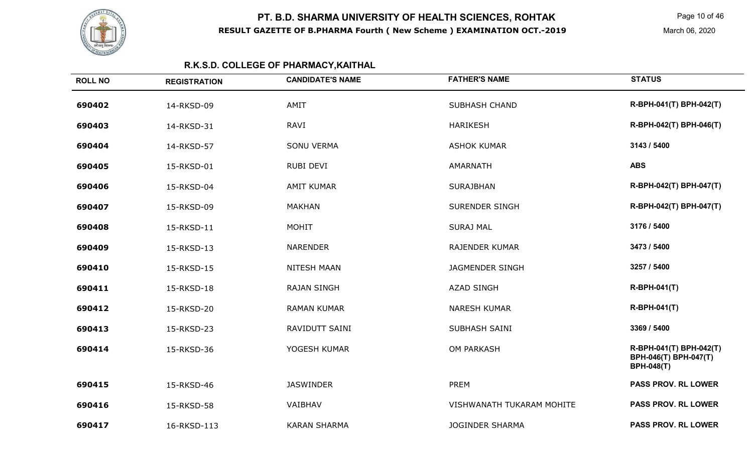

Page 10 of 46

March 06, 2020

## **R.K.S.D. COLLEGE OF PHARMACY,KAITHAL**

| <b>ROLL NO</b> | <b>REGISTRATION</b> | <b>CANDIDATE'S NAME</b> | <b>FATHER'S NAME</b>      | <b>STATUS</b>                                                         |
|----------------|---------------------|-------------------------|---------------------------|-----------------------------------------------------------------------|
| 690402         | 14-RKSD-09          | AMIT                    | <b>SUBHASH CHAND</b>      | R-BPH-041(T) BPH-042(T)                                               |
| 690403         | 14-RKSD-31          | <b>RAVI</b>             | <b>HARIKESH</b>           | R-BPH-042(T) BPH-046(T)                                               |
| 690404         | 14-RKSD-57          | <b>SONU VERMA</b>       | <b>ASHOK KUMAR</b>        | 3143 / 5400                                                           |
| 690405         | 15-RKSD-01          | <b>RUBI DEVI</b>        | AMARNATH                  | <b>ABS</b>                                                            |
| 690406         | 15-RKSD-04          | <b>AMIT KUMAR</b>       | <b>SURAJBHAN</b>          | R-BPH-042(T) BPH-047(T)                                               |
| 690407         | 15-RKSD-09          | <b>MAKHAN</b>           | <b>SURENDER SINGH</b>     | R-BPH-042(T) BPH-047(T)                                               |
| 690408         | 15-RKSD-11          | <b>MOHIT</b>            | <b>SURAJ MAL</b>          | 3176 / 5400                                                           |
| 690409         | 15-RKSD-13          | <b>NARENDER</b>         | <b>RAJENDER KUMAR</b>     | 3473 / 5400                                                           |
| 690410         | 15-RKSD-15          | <b>NITESH MAAN</b>      | <b>JAGMENDER SINGH</b>    | 3257 / 5400                                                           |
| 690411         | 15-RKSD-18          | <b>RAJAN SINGH</b>      | <b>AZAD SINGH</b>         | <b>R-BPH-041(T)</b>                                                   |
| 690412         | 15-RKSD-20          | <b>RAMAN KUMAR</b>      | <b>NARESH KUMAR</b>       | <b>R-BPH-041(T)</b>                                                   |
| 690413         | 15-RKSD-23          | <b>RAVIDUTT SAINI</b>   | SUBHASH SAINI             | 3369 / 5400                                                           |
| 690414         | 15-RKSD-36          | YOGESH KUMAR            | <b>OM PARKASH</b>         | R-BPH-041(T) BPH-042(T)<br>BPH-046(T) BPH-047(T)<br><b>BPH-048(T)</b> |
| 690415         | 15-RKSD-46          | <b>JASWINDER</b>        | <b>PREM</b>               | <b>PASS PROV. RL LOWER</b>                                            |
| 690416         | 15-RKSD-58          | VAIBHAV                 | VISHWANATH TUKARAM MOHITE | <b>PASS PROV. RL LOWER</b>                                            |
| 690417         | 16-RKSD-113         | <b>KARAN SHARMA</b>     | <b>JOGINDER SHARMA</b>    | <b>PASS PROV. RL LOWER</b>                                            |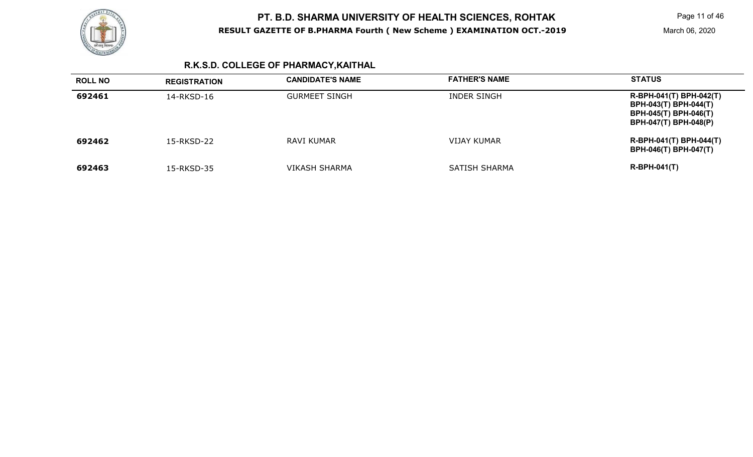

## **R.K.S.D. COLLEGE OF PHARMACY,KAITHAL**

| <b>ROLL NO</b> | <b>REGISTRATION</b> | <b>CANDIDATE'S NAME</b> | <b>FATHER'S NAME</b> | <b>STATUS</b>                                                                                                           |
|----------------|---------------------|-------------------------|----------------------|-------------------------------------------------------------------------------------------------------------------------|
| 692461         | 14-RKSD-16          | <b>GURMEET SINGH</b>    | INDER SINGH          | R-BPH-041(T) BPH-042(T)<br><b>BPH-043(T) BPH-044(T)</b><br><b>BPH-045(T) BPH-046(T)</b><br><b>BPH-047(T) BPH-048(P)</b> |
| 692462         | 15-RKSD-22          | RAVI KUMAR              | VIJAY KUMAR          | R-BPH-041(T) BPH-044(T)<br><b>BPH-046(T) BPH-047(T)</b>                                                                 |
| 692463         | 15-RKSD-35          | VIKASH SHARMA           | SATISH SHARMA        | $R-BPH-041(T)$                                                                                                          |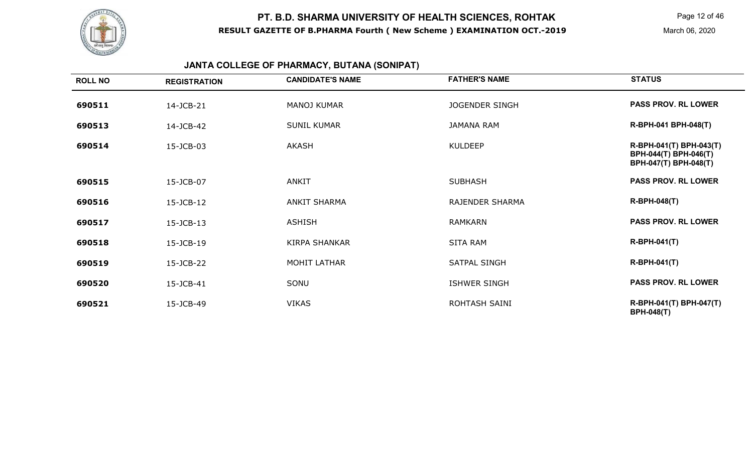

Page 12 of 46

March 06, 2020

## **JANTA COLLEGE OF PHARMACY, BUTANA (SONIPAT)**

| <b>ROLL NO</b> | <b>REGISTRATION</b> | <b>CANDIDATE'S NAME</b> | <b>FATHER'S NAME</b>   | <b>STATUS</b>                                                             |
|----------------|---------------------|-------------------------|------------------------|---------------------------------------------------------------------------|
| 690511         | 14-JCB-21           | <b>MANOJ KUMAR</b>      | <b>JOGENDER SINGH</b>  | <b>PASS PROV. RL LOWER</b>                                                |
| 690513         | 14-JCB-42           | <b>SUNIL KUMAR</b>      | <b>JAMANA RAM</b>      | R-BPH-041 BPH-048(T)                                                      |
| 690514         | 15-JCB-03           | AKASH                   | <b>KULDEEP</b>         | R-BPH-041(T) BPH-043(T)<br>BPH-044(T) BPH-046(T)<br>BPH-047(T) BPH-048(T) |
| 690515         | 15-JCB-07           | ANKIT                   | <b>SUBHASH</b>         | <b>PASS PROV. RL LOWER</b>                                                |
| 690516         | 15-JCB-12           | <b>ANKIT SHARMA</b>     | <b>RAJENDER SHARMA</b> | <b>R-BPH-048(T)</b>                                                       |
| 690517         | 15-JCB-13           | <b>ASHISH</b>           | <b>RAMKARN</b>         | <b>PASS PROV. RL LOWER</b>                                                |
| 690518         | 15-JCB-19           | <b>KIRPA SHANKAR</b>    | SITA RAM               | <b>R-BPH-041(T)</b>                                                       |
| 690519         | 15-JCB-22           | <b>MOHIT LATHAR</b>     | <b>SATPAL SINGH</b>    | <b>R-BPH-041(T)</b>                                                       |
| 690520         | 15-JCB-41           | SONU                    | <b>ISHWER SINGH</b>    | <b>PASS PROV. RL LOWER</b>                                                |
| 690521         | 15-JCB-49           | <b>VIKAS</b>            | ROHTASH SAINI          | R-BPH-041(T) BPH-047(T)<br><b>BPH-048(T)</b>                              |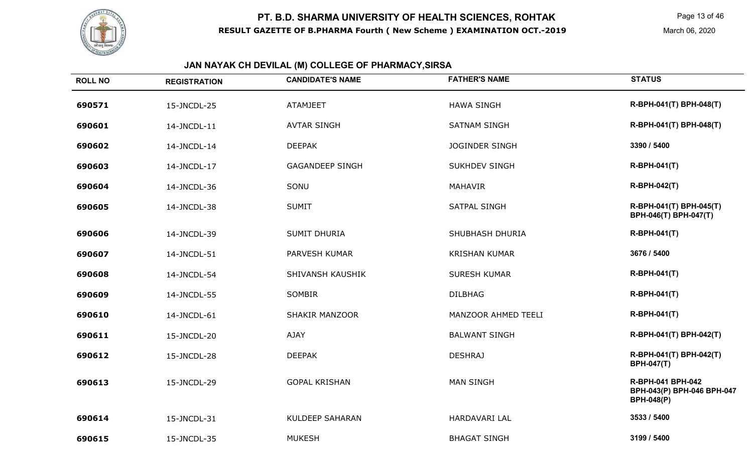

# **JAN NAYAK CH DEVILAL (M) COLLEGE OF PHARMACY,SIRSA**

| <b>ROLL NO</b> | <b>REGISTRATION</b> | <b>CANDIDATE'S NAME</b> | <b>FATHER'S NAME</b>   | <b>STATUS</b>                                                        |
|----------------|---------------------|-------------------------|------------------------|----------------------------------------------------------------------|
| 690571         | 15-JNCDL-25         | <b>ATAMJEET</b>         | <b>HAWA SINGH</b>      | R-BPH-041(T) BPH-048(T)                                              |
| 690601         | 14-JNCDL-11         | <b>AVTAR SINGH</b>      | <b>SATNAM SINGH</b>    | R-BPH-041(T) BPH-048(T)                                              |
| 690602         | 14-JNCDL-14         | <b>DEEPAK</b>           | <b>JOGINDER SINGH</b>  | 3390 / 5400                                                          |
| 690603         | 14-JNCDL-17         | <b>GAGANDEEP SINGH</b>  | <b>SUKHDEV SINGH</b>   | <b>R-BPH-041(T)</b>                                                  |
| 690604         | 14-JNCDL-36         | SONU                    | <b>MAHAVIR</b>         | R-BPH-042(T)                                                         |
| 690605         | 14-JNCDL-38         | <b>SUMIT</b>            | <b>SATPAL SINGH</b>    | R-BPH-041(T) BPH-045(T)<br>BPH-046(T) BPH-047(T)                     |
| 690606         | 14-JNCDL-39         | <b>SUMIT DHURIA</b>     | <b>SHUBHASH DHURIA</b> | R-BPH-041(T)                                                         |
| 690607         | 14-JNCDL-51         | PARVESH KUMAR           | <b>KRISHAN KUMAR</b>   | 3676 / 5400                                                          |
| 690608         | 14-JNCDL-54         | SHIVANSH KAUSHIK        | <b>SURESH KUMAR</b>    | R-BPH-041(T)                                                         |
| 690609         | 14-JNCDL-55         | <b>SOMBIR</b>           | <b>DILBHAG</b>         | R-BPH-041(T)                                                         |
| 690610         | 14-JNCDL-61         | <b>SHAKIR MANZOOR</b>   | MANZOOR AHMED TEELI    | R-BPH-041(T)                                                         |
| 690611         | 15-JNCDL-20         | <b>AJAY</b>             | <b>BALWANT SINGH</b>   | R-BPH-041(T) BPH-042(T)                                              |
| 690612         | 15-JNCDL-28         | <b>DEEPAK</b>           | <b>DESHRAJ</b>         | R-BPH-041(T) BPH-042(T)<br><b>BPH-047(T)</b>                         |
| 690613         | 15-JNCDL-29         | <b>GOPAL KRISHAN</b>    | <b>MAN SINGH</b>       | R-BPH-041 BPH-042<br>BPH-043(P) BPH-046 BPH-047<br><b>BPH-048(P)</b> |
| 690614         | 15-JNCDL-31         | <b>KULDEEP SAHARAN</b>  | HARDAVARI LAL          | 3533 / 5400                                                          |
| 690615         | 15-JNCDL-35         | <b>MUKESH</b>           | <b>BHAGAT SINGH</b>    | 3199 / 5400                                                          |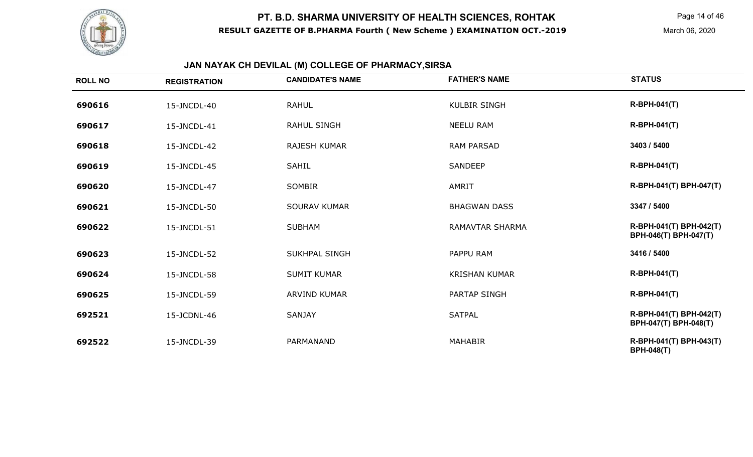

Page 14 of 46

March 06, 2020

## **JAN NAYAK CH DEVILAL (M) COLLEGE OF PHARMACY,SIRSA**

| <b>ROLL NO</b> | <b>REGISTRATION</b> | <b>CANDIDATE'S NAME</b> | <b>FATHER'S NAME</b>   | <b>STATUS</b>                                    |
|----------------|---------------------|-------------------------|------------------------|--------------------------------------------------|
| 690616         | 15-JNCDL-40         | <b>RAHUL</b>            | <b>KULBIR SINGH</b>    | $R-BPH-041(T)$                                   |
| 690617         | 15-JNCDL-41         | <b>RAHUL SINGH</b>      | <b>NEELU RAM</b>       | $R-BPH-041(T)$                                   |
| 690618         | 15-JNCDL-42         | <b>RAJESH KUMAR</b>     | <b>RAM PARSAD</b>      | 3403 / 5400                                      |
| 690619         | 15-JNCDL-45         | <b>SAHIL</b>            | <b>SANDEEP</b>         | <b>R-BPH-041(T)</b>                              |
| 690620         | 15-JNCDL-47         | <b>SOMBIR</b>           | AMRIT                  | R-BPH-041(T) BPH-047(T)                          |
| 690621         | 15-JNCDL-50         | <b>SOURAV KUMAR</b>     | <b>BHAGWAN DASS</b>    | 3347 / 5400                                      |
| 690622         | 15-JNCDL-51         | <b>SUBHAM</b>           | <b>RAMAVTAR SHARMA</b> | R-BPH-041(T) BPH-042(T)<br>BPH-046(T) BPH-047(T) |
| 690623         | 15-JNCDL-52         | <b>SUKHPAL SINGH</b>    | PAPPU RAM              | 3416 / 5400                                      |
| 690624         | 15-JNCDL-58         | <b>SUMIT KUMAR</b>      | <b>KRISHAN KUMAR</b>   | R-BPH-041(T)                                     |
| 690625         | 15-JNCDL-59         | <b>ARVIND KUMAR</b>     | <b>PARTAP SINGH</b>    | <b>R-BPH-041(T)</b>                              |
| 692521         | 15-JCDNL-46         | <b>SANJAY</b>           | <b>SATPAL</b>          | R-BPH-041(T) BPH-042(T)<br>BPH-047(T) BPH-048(T) |
| 692522         | 15-JNCDL-39         | PARMANAND               | <b>MAHABIR</b>         | R-BPH-041(T) BPH-043(T)<br><b>BPH-048(T)</b>     |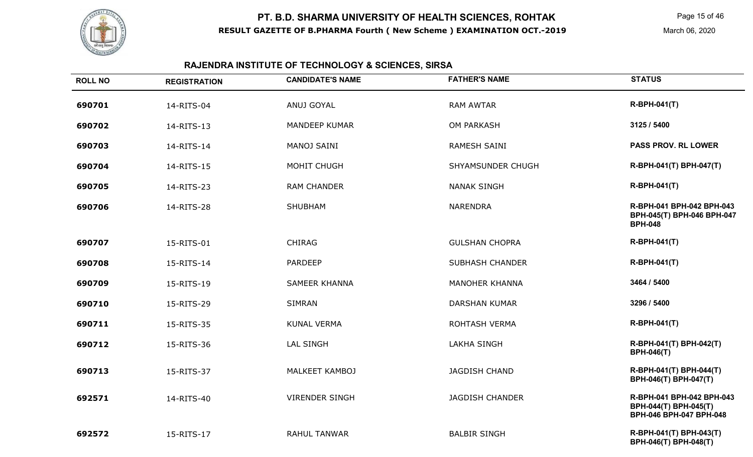

Page 15 of 46

March 06, 2020

## **RAJENDRA INSTITUTE OF TECHNOLOGY & SCIENCES, SIRSA**

| <b>ROLL NO</b> | <b>REGISTRATION</b> | <b>CANDIDATE'S NAME</b> | <b>FATHER'S NAME</b>   | <b>STATUS</b>                                                                 |
|----------------|---------------------|-------------------------|------------------------|-------------------------------------------------------------------------------|
| 690701         | 14-RITS-04          | ANUJ GOYAL              | <b>RAM AWTAR</b>       | <b>R-BPH-041(T)</b>                                                           |
| 690702         | 14-RITS-13          | <b>MANDEEP KUMAR</b>    | <b>OM PARKASH</b>      | 3125 / 5400                                                                   |
| 690703         | 14-RITS-14          | MANOJ SAINI             | <b>RAMESH SAINI</b>    | <b>PASS PROV. RL LOWER</b>                                                    |
| 690704         | 14-RITS-15          | MOHIT CHUGH             | SHYAMSUNDER CHUGH      | R-BPH-041(T) BPH-047(T)                                                       |
| 690705         | 14-RITS-23          | <b>RAM CHANDER</b>      | <b>NANAK SINGH</b>     | <b>R-BPH-041(T)</b>                                                           |
| 690706         | 14-RITS-28          | <b>SHUBHAM</b>          | <b>NARENDRA</b>        | R-BPH-041 BPH-042 BPH-043<br>BPH-045(T) BPH-046 BPH-047<br><b>BPH-048</b>     |
| 690707         | 15-RITS-01          | <b>CHIRAG</b>           | <b>GULSHAN CHOPRA</b>  | R-BPH-041(T)                                                                  |
| 690708         | 15-RITS-14          | <b>PARDEEP</b>          | <b>SUBHASH CHANDER</b> | <b>R-BPH-041(T)</b>                                                           |
| 690709         | 15-RITS-19          | <b>SAMEER KHANNA</b>    | <b>MANOHER KHANNA</b>  | 3464 / 5400                                                                   |
| 690710         | 15-RITS-29          | <b>SIMRAN</b>           | <b>DARSHAN KUMAR</b>   | 3296 / 5400                                                                   |
| 690711         | 15-RITS-35          | <b>KUNAL VERMA</b>      | ROHTASH VERMA          | <b>R-BPH-041(T)</b>                                                           |
| 690712         | 15-RITS-36          | <b>LAL SINGH</b>        | <b>LAKHA SINGH</b>     | R-BPH-041(T) BPH-042(T)<br><b>BPH-046(T)</b>                                  |
| 690713         | 15-RITS-37          | MALKEET KAMBOJ          | <b>JAGDISH CHAND</b>   | R-BPH-041(T) BPH-044(T)<br>BPH-046(T) BPH-047(T)                              |
| 692571         | 14-RITS-40          | <b>VIRENDER SINGH</b>   | <b>JAGDISH CHANDER</b> | R-BPH-041 BPH-042 BPH-043<br>BPH-044(T) BPH-045(T)<br>BPH-046 BPH-047 BPH-048 |
| 692572         | 15-RITS-17          | <b>RAHUL TANWAR</b>     | <b>BALBIR SINGH</b>    | R-BPH-041(T) BPH-043(T)<br>BPH-046(T) BPH-048(T)                              |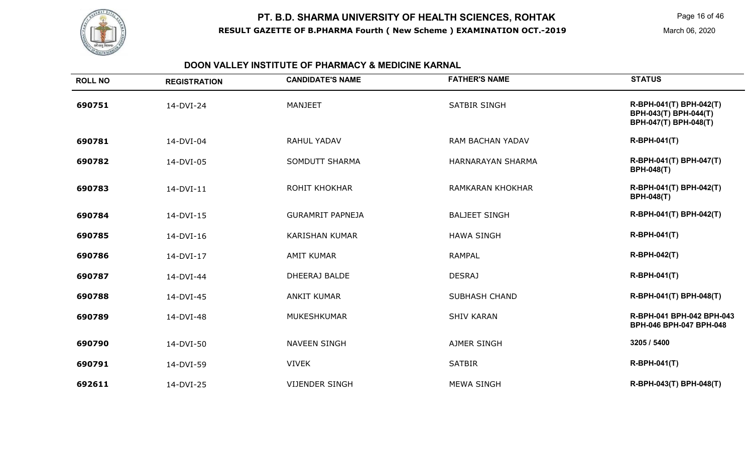

#### **DOON VALLEY INSTITUTE OF PHARMACY & MEDICINE KARNAL**

| <b>ROLL NO</b> | <b>REGISTRATION</b> | <b>CANDIDATE'S NAME</b> | <b>FATHER'S NAME</b>     | <b>STATUS</b>                                                             |
|----------------|---------------------|-------------------------|--------------------------|---------------------------------------------------------------------------|
| 690751         | 14-DVI-24           | <b>MANJEET</b>          | <b>SATBIR SINGH</b>      | R-BPH-041(T) BPH-042(T)<br>BPH-043(T) BPH-044(T)<br>BPH-047(T) BPH-048(T) |
| 690781         | 14-DVI-04           | <b>RAHUL YADAV</b>      | <b>RAM BACHAN YADAV</b>  | <b>R-BPH-041(T)</b>                                                       |
| 690782         | 14-DVI-05           | <b>SOMDUTT SHARMA</b>   | <b>HARNARAYAN SHARMA</b> | R-BPH-041(T) BPH-047(T)<br><b>BPH-048(T)</b>                              |
| 690783         | 14-DVI-11           | <b>ROHIT KHOKHAR</b>    | <b>RAMKARAN KHOKHAR</b>  | R-BPH-041(T) BPH-042(T)<br><b>BPH-048(T)</b>                              |
| 690784         | 14-DVI-15           | <b>GURAMRIT PAPNEJA</b> | <b>BALJEET SINGH</b>     | R-BPH-041(T) BPH-042(T)                                                   |
| 690785         | 14-DVI-16           | <b>KARISHAN KUMAR</b>   | <b>HAWA SINGH</b>        | <b>R-BPH-041(T)</b>                                                       |
| 690786         | 14-DVI-17           | <b>AMIT KUMAR</b>       | <b>RAMPAL</b>            | <b>R-BPH-042(T)</b>                                                       |
| 690787         | 14-DVI-44           | DHEERAJ BALDE           | <b>DESRAJ</b>            | <b>R-BPH-041(T)</b>                                                       |
| 690788         | 14-DVI-45           | <b>ANKIT KUMAR</b>      | <b>SUBHASH CHAND</b>     | R-BPH-041(T) BPH-048(T)                                                   |
| 690789         | 14-DVI-48           | <b>MUKESHKUMAR</b>      | <b>SHIV KARAN</b>        | R-BPH-041 BPH-042 BPH-043<br>BPH-046 BPH-047 BPH-048                      |
| 690790         | 14-DVI-50           | <b>NAVEEN SINGH</b>     | <b>AJMER SINGH</b>       | 3205 / 5400                                                               |
| 690791         | 14-DVI-59           | <b>VIVEK</b>            | <b>SATBIR</b>            | R-BPH-041(T)                                                              |
| 692611         | 14-DVI-25           | <b>VIJENDER SINGH</b>   | <b>MEWA SINGH</b>        | R-BPH-043(T) BPH-048(T)                                                   |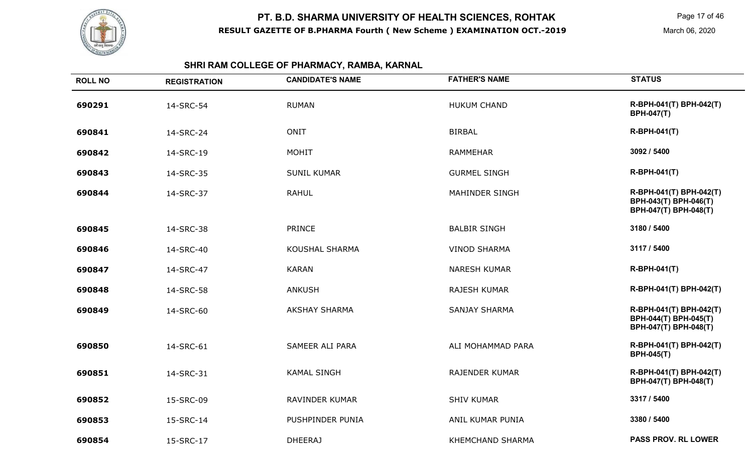

Page 17 of 46

March 06, 2020

## **SHRI RAM COLLEGE OF PHARMACY, RAMBA, KARNAL**

| <b>ROLL NO</b> | <b>REGISTRATION</b> | <b>CANDIDATE'S NAME</b> | <b>FATHER'S NAME</b>    | <b>STATUS</b>                                                             |
|----------------|---------------------|-------------------------|-------------------------|---------------------------------------------------------------------------|
| 690291         | 14-SRC-54           | <b>RUMAN</b>            | <b>HUKUM CHAND</b>      | R-BPH-041(T) BPH-042(T)<br><b>BPH-047(T)</b>                              |
| 690841         | 14-SRC-24           | <b>ONIT</b>             | <b>BIRBAL</b>           | R-BPH-041(T)                                                              |
| 690842         | 14-SRC-19           | <b>MOHIT</b>            | <b>RAMMEHAR</b>         | 3092 / 5400                                                               |
| 690843         | 14-SRC-35           | <b>SUNIL KUMAR</b>      | <b>GURMEL SINGH</b>     | R-BPH-041(T)                                                              |
| 690844         | 14-SRC-37           | <b>RAHUL</b>            | <b>MAHINDER SINGH</b>   | R-BPH-041(T) BPH-042(T)<br>BPH-043(T) BPH-046(T)<br>BPH-047(T) BPH-048(T) |
| 690845         | 14-SRC-38           | <b>PRINCE</b>           | <b>BALBIR SINGH</b>     | 3180 / 5400                                                               |
| 690846         | 14-SRC-40           | <b>KOUSHAL SHARMA</b>   | <b>VINOD SHARMA</b>     | 3117 / 5400                                                               |
| 690847         | 14-SRC-47           | <b>KARAN</b>            | <b>NARESH KUMAR</b>     | R-BPH-041(T)                                                              |
| 690848         | 14-SRC-58           | <b>ANKUSH</b>           | <b>RAJESH KUMAR</b>     | R-BPH-041(T) BPH-042(T)                                                   |
| 690849         | 14-SRC-60           | <b>AKSHAY SHARMA</b>    | <b>SANJAY SHARMA</b>    | R-BPH-041(T) BPH-042(T)<br>BPH-044(T) BPH-045(T)<br>BPH-047(T) BPH-048(T) |
| 690850         | 14-SRC-61           | <b>SAMEER ALI PARA</b>  | ALI MOHAMMAD PARA       | R-BPH-041(T) BPH-042(T)<br><b>BPH-045(T)</b>                              |
| 690851         | 14-SRC-31           | <b>KAMAL SINGH</b>      | <b>RAJENDER KUMAR</b>   | R-BPH-041(T) BPH-042(T)<br>BPH-047(T) BPH-048(T)                          |
| 690852         | 15-SRC-09           | RAVINDER KUMAR          | <b>SHIV KUMAR</b>       | 3317 / 5400                                                               |
| 690853         | 15-SRC-14           | PUSHPINDER PUNIA        | ANIL KUMAR PUNIA        | 3380 / 5400                                                               |
| 690854         | 15-SRC-17           | <b>DHEERAJ</b>          | <b>KHEMCHAND SHARMA</b> | <b>PASS PROV. RL LOWER</b>                                                |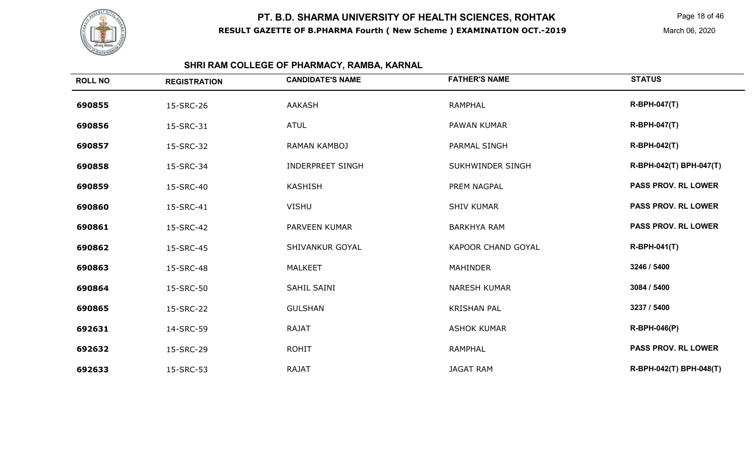

## **SHRI RAM COLLEGE OF PHARMACY, RAMBA, KARNAL**

| <b>ROLL NO</b> | <b>REGISTRATION</b> | <b>CANDIDATE'S NAME</b> | <b>FATHER'S NAME</b> | <b>STATUS</b>              |
|----------------|---------------------|-------------------------|----------------------|----------------------------|
| 690855         | 15-SRC-26           | <b>AAKASH</b>           | <b>RAMPHAL</b>       | <b>R-BPH-047(T)</b>        |
| 690856         | 15-SRC-31           | <b>ATUL</b>             | PAWAN KUMAR          | <b>R-BPH-047(T)</b>        |
| 690857         | 15-SRC-32           | <b>RAMAN KAMBOJ</b>     | PARMAL SINGH         | R-BPH-042(T)               |
| 690858         | 15-SRC-34           | <b>INDERPREET SINGH</b> | SUKHWINDER SINGH     | R-BPH-042(T) BPH-047(T)    |
| 690859         | 15-SRC-40           | <b>KASHISH</b>          | PREM NAGPAL          | <b>PASS PROV. RL LOWER</b> |
| 690860         | 15-SRC-41           | <b>VISHU</b>            | <b>SHIV KUMAR</b>    | <b>PASS PROV. RL LOWER</b> |
| 690861         | 15-SRC-42           | PARVEEN KUMAR           | <b>BARKHYA RAM</b>   | <b>PASS PROV. RL LOWER</b> |
| 690862         | 15-SRC-45           | SHIVANKUR GOYAL         | KAPOOR CHAND GOYAL   | <b>R-BPH-041(T)</b>        |
| 690863         | 15-SRC-48           | <b>MALKEET</b>          | <b>MAHINDER</b>      | 3246 / 5400                |
| 690864         | 15-SRC-50           | SAHIL SAINI             | <b>NARESH KUMAR</b>  | 3084 / 5400                |
| 690865         | 15-SRC-22           | <b>GULSHAN</b>          | <b>KRISHAN PAL</b>   | 3237 / 5400                |
| 692631         | 14-SRC-59           | <b>RAJAT</b>            | <b>ASHOK KUMAR</b>   | <b>R-BPH-046(P)</b>        |
| 692632         | 15-SRC-29           | <b>ROHIT</b>            | <b>RAMPHAL</b>       | <b>PASS PROV. RL LOWER</b> |
| 692633         | 15-SRC-53           | <b>RAJAT</b>            | <b>JAGAT RAM</b>     | R-BPH-042(T) BPH-048(T)    |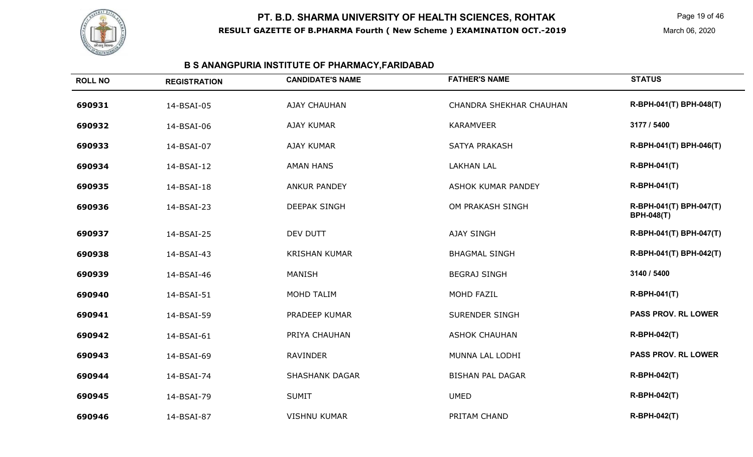

## **B S ANANGPURIA INSTITUTE OF PHARMACY,FARIDABAD**

| <b>ROLL NO</b> | <b>REGISTRATION</b> | <b>CANDIDATE'S NAME</b> | <b>FATHER'S NAME</b>           | <b>STATUS</b>                                |
|----------------|---------------------|-------------------------|--------------------------------|----------------------------------------------|
| 690931         | 14-BSAI-05          | <b>AJAY CHAUHAN</b>     | <b>CHANDRA SHEKHAR CHAUHAN</b> | R-BPH-041(T) BPH-048(T)                      |
| 690932         | 14-BSAI-06          | <b>AJAY KUMAR</b>       | <b>KARAMVEER</b>               | 3177 / 5400                                  |
| 690933         | 14-BSAI-07          | <b>AJAY KUMAR</b>       | <b>SATYA PRAKASH</b>           | R-BPH-041(T) BPH-046(T)                      |
| 690934         | 14-BSAI-12          | <b>AMAN HANS</b>        | <b>LAKHAN LAL</b>              | <b>R-BPH-041(T)</b>                          |
| 690935         | 14-BSAI-18          | <b>ANKUR PANDEY</b>     | <b>ASHOK KUMAR PANDEY</b>      | <b>R-BPH-041(T)</b>                          |
| 690936         | 14-BSAI-23          | <b>DEEPAK SINGH</b>     | OM PRAKASH SINGH               | R-BPH-041(T) BPH-047(T)<br><b>BPH-048(T)</b> |
| 690937         | 14-BSAI-25          | DEV DUTT                | <b>AJAY SINGH</b>              | R-BPH-041(T) BPH-047(T)                      |
| 690938         | 14-BSAI-43          | <b>KRISHAN KUMAR</b>    | <b>BHAGMAL SINGH</b>           | R-BPH-041(T) BPH-042(T)                      |
| 690939         | 14-BSAI-46          | <b>MANISH</b>           | <b>BEGRAJ SINGH</b>            | 3140 / 5400                                  |
| 690940         | 14-BSAI-51          | MOHD TALIM              | MOHD FAZIL                     | <b>R-BPH-041(T)</b>                          |
| 690941         | 14-BSAI-59          | PRADEEP KUMAR           | <b>SURENDER SINGH</b>          | <b>PASS PROV. RL LOWER</b>                   |
| 690942         | 14-BSAI-61          | PRIYA CHAUHAN           | <b>ASHOK CHAUHAN</b>           | <b>R-BPH-042(T)</b>                          |
| 690943         | 14-BSAI-69          | <b>RAVINDER</b>         | MUNNA LAL LODHI                | <b>PASS PROV. RL LOWER</b>                   |
| 690944         | 14-BSAI-74          | <b>SHASHANK DAGAR</b>   | <b>BISHAN PAL DAGAR</b>        | <b>R-BPH-042(T)</b>                          |
| 690945         | 14-BSAI-79          | <b>SUMIT</b>            | <b>UMED</b>                    | <b>R-BPH-042(T)</b>                          |
| 690946         | 14-BSAI-87          | <b>VISHNU KUMAR</b>     | PRITAM CHAND                   | <b>R-BPH-042(T)</b>                          |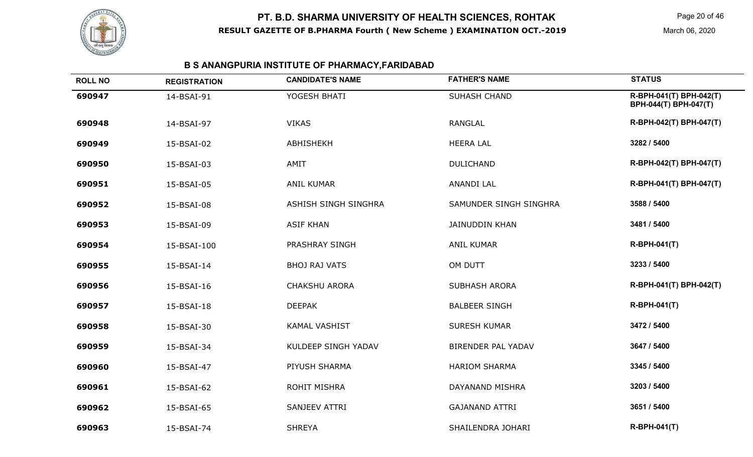

## **B S ANANGPURIA INSTITUTE OF PHARMACY,FARIDABAD**

| <b>ROLL NO</b> | <b>REGISTRATION</b> | <b>CANDIDATE'S NAME</b> | <b>FATHER'S NAME</b>      | <b>STATUS</b>                                    |
|----------------|---------------------|-------------------------|---------------------------|--------------------------------------------------|
| 690947         | 14-BSAI-91          | YOGESH BHATI            | SUHASH CHAND              | R-BPH-041(T) BPH-042(T)<br>BPH-044(T) BPH-047(T) |
| 690948         | 14-BSAI-97          | <b>VIKAS</b>            | <b>RANGLAL</b>            | R-BPH-042(T) BPH-047(T)                          |
| 690949         | 15-BSAI-02          | ABHISHEKH               | <b>HEERA LAL</b>          | 3282 / 5400                                      |
| 690950         | 15-BSAI-03          | AMIT                    | <b>DULICHAND</b>          | R-BPH-042(T) BPH-047(T)                          |
| 690951         | 15-BSAI-05          | ANIL KUMAR              | <b>ANANDI LAL</b>         | R-BPH-041(T) BPH-047(T)                          |
| 690952         | 15-BSAI-08          | ASHISH SINGH SINGHRA    | SAMUNDER SINGH SINGHRA    | 3588 / 5400                                      |
| 690953         | 15-BSAI-09          | <b>ASIF KHAN</b>        | <b>JAINUDDIN KHAN</b>     | 3481 / 5400                                      |
| 690954         | 15-BSAI-100         | PRASHRAY SINGH          | <b>ANIL KUMAR</b>         | <b>R-BPH-041(T)</b>                              |
| 690955         | 15-BSAI-14          | <b>BHOJ RAJ VATS</b>    | OM DUTT                   | 3233 / 5400                                      |
| 690956         | 15-BSAI-16          | <b>CHAKSHU ARORA</b>    | <b>SUBHASH ARORA</b>      | R-BPH-041(T) BPH-042(T)                          |
| 690957         | 15-BSAI-18          | <b>DEEPAK</b>           | <b>BALBEER SINGH</b>      | <b>R-BPH-041(T)</b>                              |
| 690958         | 15-BSAI-30          | <b>KAMAL VASHIST</b>    | <b>SURESH KUMAR</b>       | 3472 / 5400                                      |
| 690959         | 15-BSAI-34          | KULDEEP SINGH YADAV     | <b>BIRENDER PAL YADAV</b> | 3647 / 5400                                      |
| 690960         | 15-BSAI-47          | PIYUSH SHARMA           | <b>HARIOM SHARMA</b>      | 3345 / 5400                                      |
| 690961         | 15-BSAI-62          | <b>ROHIT MISHRA</b>     | DAYANAND MISHRA           | 3203 / 5400                                      |
| 690962         | 15-BSAI-65          | SANJEEV ATTRI           | <b>GAJANAND ATTRI</b>     | 3651 / 5400                                      |
| 690963         | 15-BSAI-74          | <b>SHREYA</b>           | SHAILENDRA JOHARI         | <b>R-BPH-041(T)</b>                              |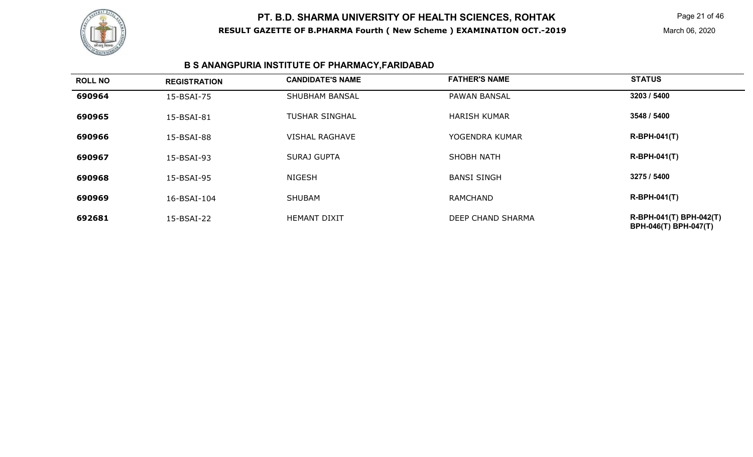

Page 21 of 46

March 06, 2020

## **B S ANANGPURIA INSTITUTE OF PHARMACY,FARIDABAD**

| <b>ROLL NO</b> | <b>REGISTRATION</b> | <b>CANDIDATE'S NAME</b> | <b>FATHER'S NAME</b> | <b>STATUS</b>                                    |
|----------------|---------------------|-------------------------|----------------------|--------------------------------------------------|
| 690964         | 15-BSAI-75          | <b>SHUBHAM BANSAL</b>   | <b>PAWAN BANSAL</b>  | 3203 / 5400                                      |
| 690965         | 15-BSAI-81          | <b>TUSHAR SINGHAL</b>   | <b>HARISH KUMAR</b>  | 3548 / 5400                                      |
| 690966         | 15-BSAI-88          | <b>VISHAL RAGHAVE</b>   | YOGENDRA KUMAR       | $R-BPH-041(T)$                                   |
| 690967         | 15-BSAI-93          | <b>SURAJ GUPTA</b>      | SHOBH NATH           | $R-BPH-041(T)$                                   |
| 690968         | 15-BSAI-95          | <b>NIGESH</b>           | <b>BANSI SINGH</b>   | 3275 / 5400                                      |
| 690969         | 16-BSAI-104         | <b>SHUBAM</b>           | <b>RAMCHAND</b>      | $R-BPH-041(T)$                                   |
| 692681         | 15-BSAI-22          | <b>HEMANT DIXIT</b>     | DEEP CHAND SHARMA    | R-BPH-041(T) BPH-042(T)<br>BPH-046(T) BPH-047(T) |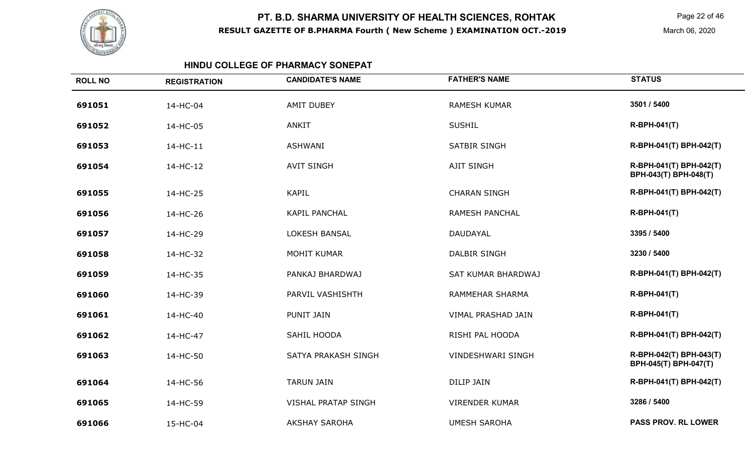

Page 22 of 46

March 06, 2020

#### **HINDU COLLEGE OF PHARMACY SONEPAT**

| <b>ROLL NO</b> | <b>REGISTRATION</b> | <b>CANDIDATE'S NAME</b>    | <b>FATHER'S NAME</b>      | <b>STATUS</b>                                    |
|----------------|---------------------|----------------------------|---------------------------|--------------------------------------------------|
| 691051         | 14-HC-04            | <b>AMIT DUBEY</b>          | <b>RAMESH KUMAR</b>       | 3501 / 5400                                      |
| 691052         | 14-HC-05            | <b>ANKIT</b>               | <b>SUSHIL</b>             | <b>R-BPH-041(T)</b>                              |
| 691053         | 14-HC-11            | <b>ASHWANI</b>             | <b>SATBIR SINGH</b>       | R-BPH-041(T) BPH-042(T)                          |
| 691054         | 14-HC-12            | <b>AVIT SINGH</b>          | <b>AJIT SINGH</b>         | R-BPH-041(T) BPH-042(T)<br>BPH-043(T) BPH-048(T) |
| 691055         | 14-HC-25            | <b>KAPIL</b>               | <b>CHARAN SINGH</b>       | R-BPH-041(T) BPH-042(T)                          |
| 691056         | 14-HC-26            | <b>KAPIL PANCHAL</b>       | RAMESH PANCHAL            | <b>R-BPH-041(T)</b>                              |
| 691057         | 14-HC-29            | <b>LOKESH BANSAL</b>       | DAUDAYAL                  | 3395 / 5400                                      |
| 691058         | 14-HC-32            | MOHIT KUMAR                | <b>DALBIR SINGH</b>       | 3230 / 5400                                      |
| 691059         | 14-HC-35            | PANKAJ BHARDWAJ            | <b>SAT KUMAR BHARDWAJ</b> | R-BPH-041(T) BPH-042(T)                          |
| 691060         | 14-HC-39            | PARVIL VASHISHTH           | <b>RAMMEHAR SHARMA</b>    | R-BPH-041(T)                                     |
| 691061         | 14-HC-40            | PUNIT JAIN                 | VIMAL PRASHAD JAIN        | <b>R-BPH-041(T)</b>                              |
| 691062         | 14-HC-47            | SAHIL HOODA                | RISHI PAL HOODA           | R-BPH-041(T) BPH-042(T)                          |
| 691063         | 14-HC-50            | SATYA PRAKASH SINGH        | <b>VINDESHWARI SINGH</b>  | R-BPH-042(T) BPH-043(T)<br>BPH-045(T) BPH-047(T) |
| 691064         | 14-HC-56            | <b>TARUN JAIN</b>          | <b>DILIP JAIN</b>         | R-BPH-041(T) BPH-042(T)                          |
| 691065         | 14-HC-59            | <b>VISHAL PRATAP SINGH</b> | <b>VIRENDER KUMAR</b>     | 3286 / 5400                                      |
| 691066         | 15-HC-04            | <b>AKSHAY SAROHA</b>       | <b>UMESH SAROHA</b>       | <b>PASS PROV. RL LOWER</b>                       |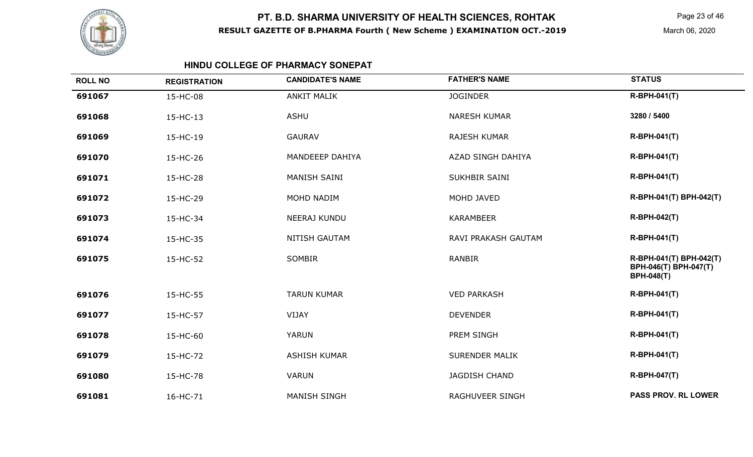

Page 23 of 46

March 06, 2020

#### **HINDU COLLEGE OF PHARMACY SONEPAT**

| <b>ROLL NO</b> | <b>REGISTRATION</b> | <b>CANDIDATE'S NAME</b> | <b>FATHER'S NAME</b>   | <b>STATUS</b>                                                         |
|----------------|---------------------|-------------------------|------------------------|-----------------------------------------------------------------------|
| 691067         | 15-HC-08            | <b>ANKIT MALIK</b>      | <b>JOGINDER</b>        | <b>R-BPH-041(T)</b>                                                   |
| 691068         | 15-HC-13            | <b>ASHU</b>             | <b>NARESH KUMAR</b>    | 3280 / 5400                                                           |
| 691069         | 15-HC-19            | <b>GAURAV</b>           | <b>RAJESH KUMAR</b>    | <b>R-BPH-041(T)</b>                                                   |
| 691070         | 15-HC-26            | MANDEEEP DAHIYA         | AZAD SINGH DAHIYA      | <b>R-BPH-041(T)</b>                                                   |
| 691071         | 15-HC-28            | <b>MANISH SAINI</b>     | SUKHBIR SAINI          | <b>R-BPH-041(T)</b>                                                   |
| 691072         | 15-HC-29            | MOHD NADIM              | MOHD JAVED             | R-BPH-041(T) BPH-042(T)                                               |
| 691073         | 15-HC-34            | NEERAJ KUNDU            | <b>KARAMBEER</b>       | <b>R-BPH-042(T)</b>                                                   |
| 691074         | 15-HC-35            | <b>NITISH GAUTAM</b>    | RAVI PRAKASH GAUTAM    | <b>R-BPH-041(T)</b>                                                   |
| 691075         | 15-HC-52            | SOMBIR                  | <b>RANBIR</b>          | R-BPH-041(T) BPH-042(T)<br>BPH-046(T) BPH-047(T)<br><b>BPH-048(T)</b> |
| 691076         | 15-HC-55            | <b>TARUN KUMAR</b>      | <b>VED PARKASH</b>     | <b>R-BPH-041(T)</b>                                                   |
| 691077         | 15-HC-57            | VIJAY                   | <b>DEVENDER</b>        | <b>R-BPH-041(T)</b>                                                   |
| 691078         | 15-HC-60            | <b>YARUN</b>            | PREM SINGH             | <b>R-BPH-041(T)</b>                                                   |
| 691079         | 15-HC-72            | <b>ASHISH KUMAR</b>     | <b>SURENDER MALIK</b>  | <b>R-BPH-041(T)</b>                                                   |
| 691080         | 15-HC-78            | <b>VARUN</b>            | JAGDISH CHAND          | <b>R-BPH-047(T)</b>                                                   |
| 691081         | 16-HC-71            | <b>MANISH SINGH</b>     | <b>RAGHUVEER SINGH</b> | <b>PASS PROV. RL LOWER</b>                                            |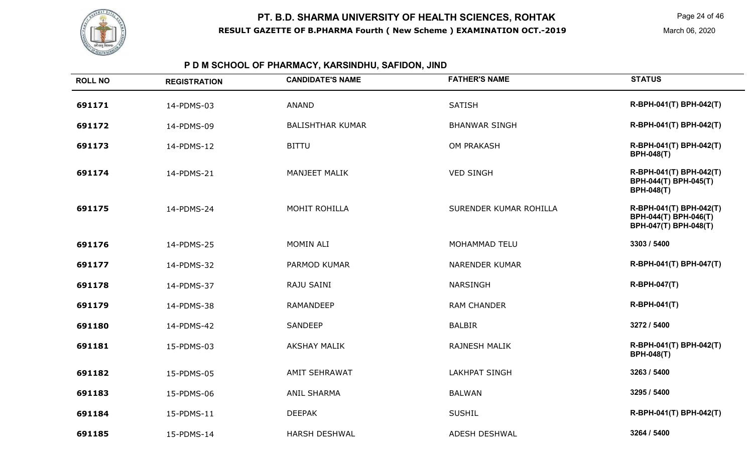

## **P D M SCHOOL OF PHARMACY, KARSINDHU, SAFIDON, JIND**

| <b>ROLL NO</b> | <b>REGISTRATION</b> | <b>CANDIDATE'S NAME</b> | <b>FATHER'S NAME</b>   | <b>STATUS</b>                                                             |
|----------------|---------------------|-------------------------|------------------------|---------------------------------------------------------------------------|
| 691171         | 14-PDMS-03          | <b>ANAND</b>            | <b>SATISH</b>          | R-BPH-041(T) BPH-042(T)                                                   |
| 691172         | 14-PDMS-09          | <b>BALISHTHAR KUMAR</b> | <b>BHANWAR SINGH</b>   | R-BPH-041(T) BPH-042(T)                                                   |
| 691173         | 14-PDMS-12          | <b>BITTU</b>            | <b>OM PRAKASH</b>      | R-BPH-041(T) BPH-042(T)<br><b>BPH-048(T)</b>                              |
| 691174         | 14-PDMS-21          | <b>MANJEET MALIK</b>    | <b>VED SINGH</b>       | R-BPH-041(T) BPH-042(T)<br>BPH-044(T) BPH-045(T)<br><b>BPH-048(T)</b>     |
| 691175         | 14-PDMS-24          | MOHIT ROHILLA           | SURENDER KUMAR ROHILLA | R-BPH-041(T) BPH-042(T)<br>BPH-044(T) BPH-046(T)<br>BPH-047(T) BPH-048(T) |
| 691176         | 14-PDMS-25          | MOMIN ALI               | MOHAMMAD TELU          | 3303 / 5400                                                               |
| 691177         | 14-PDMS-32          | PARMOD KUMAR            | <b>NARENDER KUMAR</b>  | R-BPH-041(T) BPH-047(T)                                                   |
| 691178         | 14-PDMS-37          | RAJU SAINI              | <b>NARSINGH</b>        | <b>R-BPH-047(T)</b>                                                       |
| 691179         | 14-PDMS-38          | <b>RAMANDEEP</b>        | <b>RAM CHANDER</b>     | R-BPH-041(T)                                                              |
| 691180         | 14-PDMS-42          | <b>SANDEEP</b>          | <b>BALBIR</b>          | 3272 / 5400                                                               |
| 691181         | 15-PDMS-03          | <b>AKSHAY MALIK</b>     | <b>RAJNESH MALIK</b>   | R-BPH-041(T) BPH-042(T)<br><b>BPH-048(T)</b>                              |
| 691182         | 15-PDMS-05          | <b>AMIT SEHRAWAT</b>    | <b>LAKHPAT SINGH</b>   | 3263 / 5400                                                               |
| 691183         | 15-PDMS-06          | <b>ANIL SHARMA</b>      | <b>BALWAN</b>          | 3295 / 5400                                                               |
| 691184         | 15-PDMS-11          | <b>DEEPAK</b>           | <b>SUSHIL</b>          | R-BPH-041(T) BPH-042(T)                                                   |
| 691185         | 15-PDMS-14          | <b>HARSH DESHWAL</b>    | ADESH DESHWAL          | 3264 / 5400                                                               |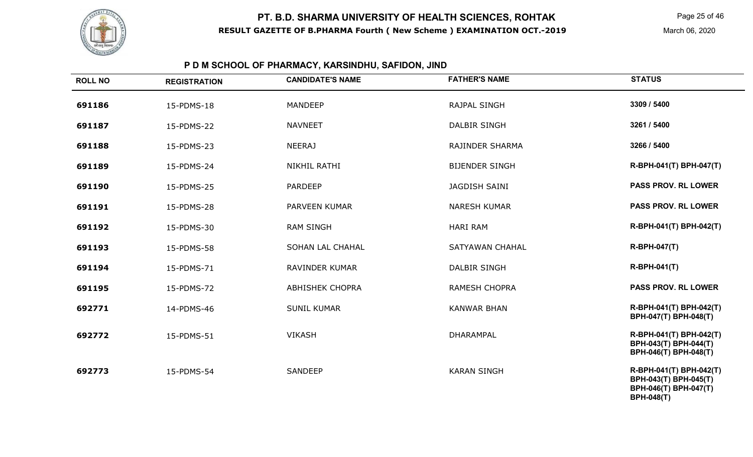

Page 25 of 46

March 06, 2020

## **P D M SCHOOL OF PHARMACY, KARSINDHU, SAFIDON, JIND**

| <b>ROLL NO</b> | <b>REGISTRATION</b> | <b>CANDIDATE'S NAME</b> | <b>FATHER'S NAME</b>  | <b>STATUS</b>                                                                                  |
|----------------|---------------------|-------------------------|-----------------------|------------------------------------------------------------------------------------------------|
| 691186         | 15-PDMS-18          | <b>MANDEEP</b>          | RAJPAL SINGH          | 3309 / 5400                                                                                    |
| 691187         | 15-PDMS-22          | <b>NAVNEET</b>          | <b>DALBIR SINGH</b>   | 3261 / 5400                                                                                    |
| 691188         | 15-PDMS-23          | <b>NEERAJ</b>           | RAJINDER SHARMA       | 3266 / 5400                                                                                    |
| 691189         | 15-PDMS-24          | <b>NIKHIL RATHI</b>     | <b>BIJENDER SINGH</b> | R-BPH-041(T) BPH-047(T)                                                                        |
| 691190         | 15-PDMS-25          | <b>PARDEEP</b>          | <b>JAGDISH SAINI</b>  | <b>PASS PROV. RL LOWER</b>                                                                     |
| 691191         | 15-PDMS-28          | PARVEEN KUMAR           | <b>NARESH KUMAR</b>   | <b>PASS PROV. RL LOWER</b>                                                                     |
| 691192         | 15-PDMS-30          | <b>RAM SINGH</b>        | <b>HARI RAM</b>       | R-BPH-041(T) BPH-042(T)                                                                        |
| 691193         | 15-PDMS-58          | SOHAN LAL CHAHAL        | SATYAWAN CHAHAL       | <b>R-BPH-047(T)</b>                                                                            |
| 691194         | 15-PDMS-71          | <b>RAVINDER KUMAR</b>   | <b>DALBIR SINGH</b>   | <b>R-BPH-041(T)</b>                                                                            |
| 691195         | 15-PDMS-72          | <b>ABHISHEK CHOPRA</b>  | <b>RAMESH CHOPRA</b>  | <b>PASS PROV. RL LOWER</b>                                                                     |
| 692771         | 14-PDMS-46          | <b>SUNIL KUMAR</b>      | <b>KANWAR BHAN</b>    | R-BPH-041(T) BPH-042(T)<br>BPH-047(T) BPH-048(T)                                               |
| 692772         | 15-PDMS-51          | <b>VIKASH</b>           | <b>DHARAMPAL</b>      | R-BPH-041(T) BPH-042(T)<br>BPH-043(T) BPH-044(T)<br>BPH-046(T) BPH-048(T)                      |
| 692773         | 15-PDMS-54          | <b>SANDEEP</b>          | <b>KARAN SINGH</b>    | R-BPH-041(T) BPH-042(T)<br>BPH-043(T) BPH-045(T)<br>BPH-046(T) BPH-047(T)<br><b>BPH-048(T)</b> |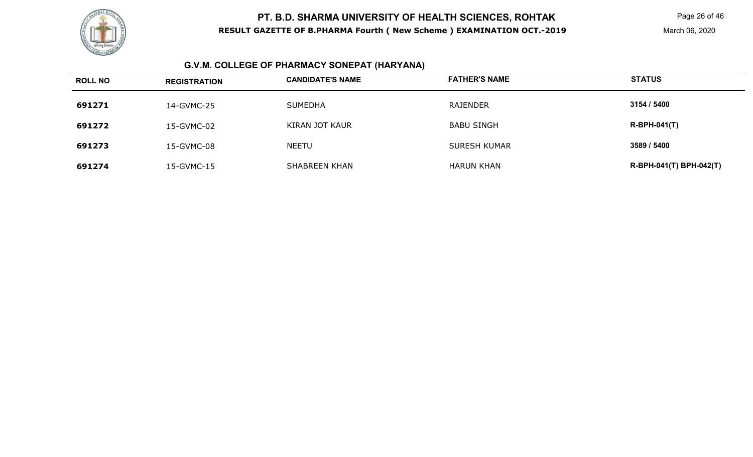

Page 26 of 46

March 06, 2020

## **G.V.M. COLLEGE OF PHARMACY SONEPAT (HARYANA)**

| <b>ROLL NO</b> | <b>REGISTRATION</b> | <b>CANDIDATE'S NAME</b> | <b>FATHER'S NAME</b> | <b>STATUS</b>           |
|----------------|---------------------|-------------------------|----------------------|-------------------------|
| 691271         | 14-GVMC-25          | <b>SUMEDHA</b>          | RAJENDER             | 3154 / 5400             |
| 691272         | 15-GVMC-02          | KIRAN JOT KAUR          | <b>BABU SINGH</b>    | $R-BPH-041(T)$          |
| 691273         | 15-GVMC-08          | <b>NEETU</b>            | <b>SURESH KUMAR</b>  | 3589 / 5400             |
| 691274         | 15-GVMC-15          | SHABREEN KHAN           | <b>HARUN KHAN</b>    | R-BPH-041(T) BPH-042(T) |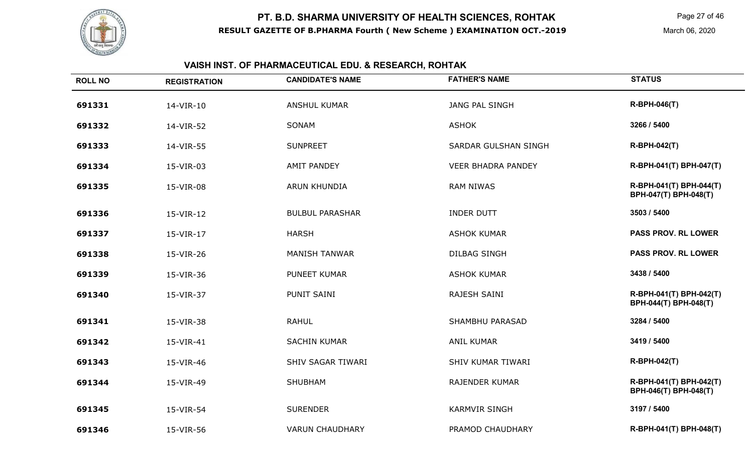

Page 27 of 46

March 06, 2020

## **VAISH INST. OF PHARMACEUTICAL EDU. & RESEARCH, ROHTAK**

| <b>ROLL NO</b> | <b>REGISTRATION</b> | <b>CANDIDATE'S NAME</b> | <b>FATHER'S NAME</b>      | <b>STATUS</b>                                    |
|----------------|---------------------|-------------------------|---------------------------|--------------------------------------------------|
| 691331         | 14-VIR-10           | <b>ANSHUL KUMAR</b>     | JANG PAL SINGH            | <b>R-BPH-046(T)</b>                              |
| 691332         | 14-VIR-52           | SONAM                   | <b>ASHOK</b>              | 3266 / 5400                                      |
| 691333         | 14-VIR-55           | <b>SUNPREET</b>         | SARDAR GULSHAN SINGH      | <b>R-BPH-042(T)</b>                              |
| 691334         | 15-VIR-03           | <b>AMIT PANDEY</b>      | <b>VEER BHADRA PANDEY</b> | R-BPH-041(T) BPH-047(T)                          |
| 691335         | 15-VIR-08           | ARUN KHUNDIA            | <b>RAM NIWAS</b>          | R-BPH-041(T) BPH-044(T)<br>BPH-047(T) BPH-048(T) |
| 691336         | 15-VIR-12           | <b>BULBUL PARASHAR</b>  | <b>INDER DUTT</b>         | 3503 / 5400                                      |
| 691337         | 15-VIR-17           | <b>HARSH</b>            | <b>ASHOK KUMAR</b>        | <b>PASS PROV. RL LOWER</b>                       |
| 691338         | 15-VIR-26           | <b>MANISH TANWAR</b>    | <b>DILBAG SINGH</b>       | <b>PASS PROV. RL LOWER</b>                       |
| 691339         | 15-VIR-36           | PUNEET KUMAR            | <b>ASHOK KUMAR</b>        | 3438 / 5400                                      |
| 691340         | 15-VIR-37           | PUNIT SAINI             | RAJESH SAINI              | R-BPH-041(T) BPH-042(T)<br>BPH-044(T) BPH-048(T) |
| 691341         | 15-VIR-38           | <b>RAHUL</b>            | SHAMBHU PARASAD           | 3284 / 5400                                      |
| 691342         | 15-VIR-41           | <b>SACHIN KUMAR</b>     | <b>ANIL KUMAR</b>         | 3419 / 5400                                      |
| 691343         | 15-VIR-46           | SHIV SAGAR TIWARI       | SHIV KUMAR TIWARI         | <b>R-BPH-042(T)</b>                              |
| 691344         | 15-VIR-49           | <b>SHUBHAM</b>          | RAJENDER KUMAR            | R-BPH-041(T) BPH-042(T)<br>BPH-046(T) BPH-048(T) |
| 691345         | 15-VIR-54           | <b>SURENDER</b>         | <b>KARMVIR SINGH</b>      | 3197 / 5400                                      |
| 691346         | 15-VIR-56           | <b>VARUN CHAUDHARY</b>  | PRAMOD CHAUDHARY          | R-BPH-041(T) BPH-048(T)                          |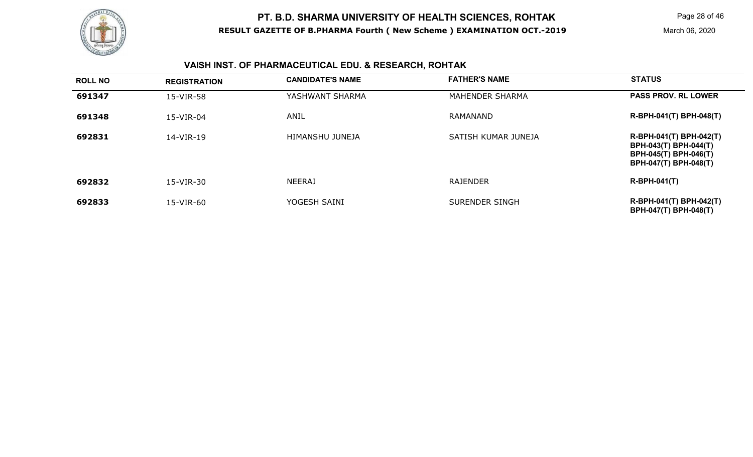

Page 28 of 46

## **VAISH INST. OF PHARMACEUTICAL EDU. & RESEARCH, ROHTAK**

| <b>ROLL NO</b> | <b>REGISTRATION</b> | <b>CANDIDATE'S NAME</b> | <b>FATHER'S NAME</b> | <b>STATUS</b>                                                                                             |
|----------------|---------------------|-------------------------|----------------------|-----------------------------------------------------------------------------------------------------------|
| 691347         | 15-VIR-58           | YASHWANT SHARMA         | MAHENDER SHARMA      | <b>PASS PROV. RL LOWER</b>                                                                                |
| 691348         | 15-VIR-04           | ANIL                    | RAMANAND             | R-BPH-041(T) BPH-048(T)                                                                                   |
| 692831         | 14-VIR-19           | HIMANSHU JUNEJA         | SATISH KUMAR JUNEJA  | R-BPH-041(T) BPH-042(T)<br><b>BPH-043(T) BPH-044(T)</b><br>BPH-045(T) BPH-046(T)<br>BPH-047(T) BPH-048(T) |
| 692832         | 15-VIR-30           | <b>NEERAJ</b>           | <b>RAJENDER</b>      | $R-BPH-041(T)$                                                                                            |
| 692833         | 15-VIR-60           | YOGESH SAINI            | SURENDER SINGH       | R-BPH-041(T) BPH-042(T)<br>BPH-047(T) BPH-048(T)                                                          |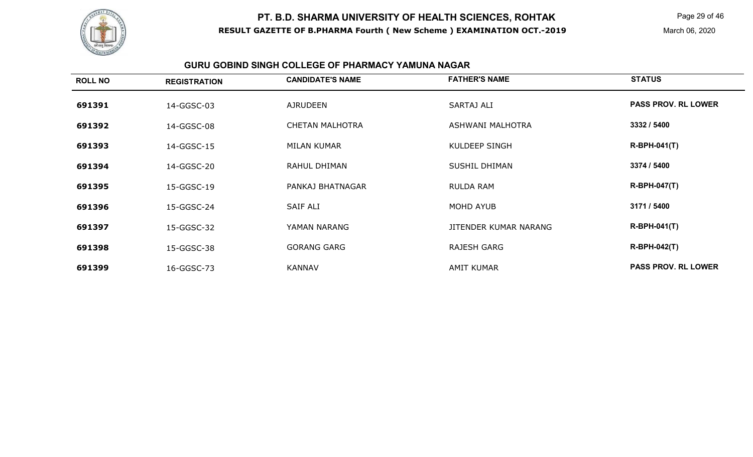

Page 29 of 46

March 06, 2020

#### **GURU GOBIND SINGH COLLEGE OF PHARMACY YAMUNA NAGAR**

| <b>ROLL NO</b> | <b>REGISTRATION</b> | <b>CANDIDATE'S NAME</b> | <b>FATHER'S NAME</b>  | <b>STATUS</b>              |
|----------------|---------------------|-------------------------|-----------------------|----------------------------|
| 691391         | 14-GGSC-03          | <b>AJRUDEEN</b>         | <b>SARTAJ ALI</b>     | <b>PASS PROV. RL LOWER</b> |
| 691392         | 14-GGSC-08          | <b>CHETAN MALHOTRA</b>  | ASHWANI MALHOTRA      | 3332 / 5400                |
| 691393         | 14-GGSC-15          | MILAN KUMAR             | KULDEEP SINGH         | $R-BPH-041(T)$             |
| 691394         | 14-GGSC-20          | RAHUL DHIMAN            | <b>SUSHIL DHIMAN</b>  | 3374 / 5400                |
| 691395         | 15-GGSC-19          | PANKAJ BHATNAGAR        | <b>RULDA RAM</b>      | <b>R-BPH-047(T)</b>        |
| 691396         | 15-GGSC-24          | SAIF ALI                | MOHD AYUB             | 3171 / 5400                |
| 691397         | 15-GGSC-32          | YAMAN NARANG            | JITENDER KUMAR NARANG | <b>R-BPH-041(T)</b>        |
| 691398         | 15-GGSC-38          | <b>GORANG GARG</b>      | RAJESH GARG           | <b>R-BPH-042(T)</b>        |
| 691399         | 16-GGSC-73          | <b>KANNAV</b>           | <b>AMIT KUMAR</b>     | <b>PASS PROV. RL LOWER</b> |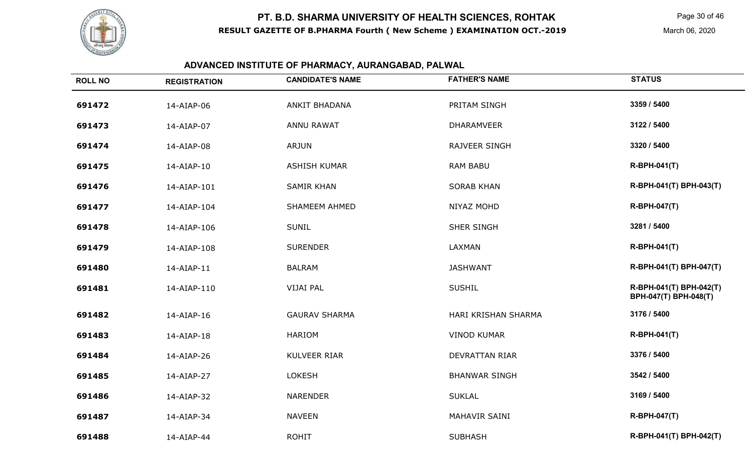

Page 30 of 46

March 06, 2020

| <b>ROLL NO</b> | <b>REGISTRATION</b> | <b>CANDIDATE'S NAME</b> | <b>FATHER'S NAME</b>  | <b>STATUS</b>                                    |
|----------------|---------------------|-------------------------|-----------------------|--------------------------------------------------|
| 691472         | 14-AIAP-06          | <b>ANKIT BHADANA</b>    | PRITAM SINGH          | 3359 / 5400                                      |
| 691473         | 14-AIAP-07          | <b>ANNU RAWAT</b>       | <b>DHARAMVEER</b>     | 3122 / 5400                                      |
| 691474         | 14-AIAP-08          | <b>ARJUN</b>            | <b>RAJVEER SINGH</b>  | 3320 / 5400                                      |
| 691475         | 14-AIAP-10          | <b>ASHISH KUMAR</b>     | <b>RAM BABU</b>       | <b>R-BPH-041(T)</b>                              |
| 691476         | 14-AIAP-101         | <b>SAMIR KHAN</b>       | <b>SORAB KHAN</b>     | R-BPH-041(T) BPH-043(T)                          |
| 691477         | 14-AIAP-104         | SHAMEEM AHMED           | NIYAZ MOHD            | <b>R-BPH-047(T)</b>                              |
| 691478         | 14-AIAP-106         | <b>SUNIL</b>            | <b>SHER SINGH</b>     | 3281 / 5400                                      |
| 691479         | 14-AIAP-108         | <b>SURENDER</b>         | LAXMAN                | <b>R-BPH-041(T)</b>                              |
| 691480         | 14-AIAP-11          | <b>BALRAM</b>           | <b>JASHWANT</b>       | R-BPH-041(T) BPH-047(T)                          |
| 691481         | 14-AIAP-110         | <b>VIJAI PAL</b>        | <b>SUSHIL</b>         | R-BPH-041(T) BPH-042(T)<br>BPH-047(T) BPH-048(T) |
| 691482         | 14-AIAP-16          | <b>GAURAV SHARMA</b>    | HARI KRISHAN SHARMA   | 3176 / 5400                                      |
| 691483         | 14-AIAP-18          | <b>HARIOM</b>           | <b>VINOD KUMAR</b>    | R-BPH-041(T)                                     |
| 691484         | 14-AIAP-26          | KULVEER RIAR            | <b>DEVRATTAN RIAR</b> | 3376 / 5400                                      |
| 691485         | 14-AIAP-27          | <b>LOKESH</b>           | <b>BHANWAR SINGH</b>  | 3542 / 5400                                      |
| 691486         | 14-AIAP-32          | <b>NARENDER</b>         | <b>SUKLAL</b>         | 3169 / 5400                                      |
| 691487         | 14-AIAP-34          | <b>NAVEEN</b>           | MAHAVIR SAINI         | <b>R-BPH-047(T)</b>                              |
| 691488         | 14-AIAP-44          | <b>ROHIT</b>            | <b>SUBHASH</b>        | R-BPH-041(T) BPH-042(T)                          |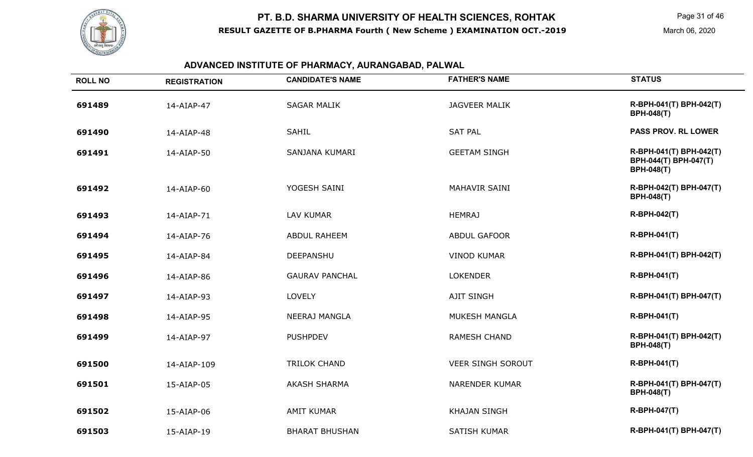

Page 31 of 46

March 06, 2020

| <b>ROLL NO</b> | <b>REGISTRATION</b> | <b>CANDIDATE'S NAME</b> | <b>FATHER'S NAME</b>     | <b>STATUS</b>                                                         |
|----------------|---------------------|-------------------------|--------------------------|-----------------------------------------------------------------------|
| 691489         | 14-AIAP-47          | <b>SAGAR MALIK</b>      | <b>JAGVEER MALIK</b>     | R-BPH-041(T) BPH-042(T)<br><b>BPH-048(T)</b>                          |
| 691490         | 14-AIAP-48          | <b>SAHIL</b>            | <b>SAT PAL</b>           | <b>PASS PROV. RL LOWER</b>                                            |
| 691491         | 14-AIAP-50          | SANJANA KUMARI          | <b>GEETAM SINGH</b>      | R-BPH-041(T) BPH-042(T)<br>BPH-044(T) BPH-047(T)<br><b>BPH-048(T)</b> |
| 691492         | 14-AIAP-60          | YOGESH SAINI            | MAHAVIR SAINI            | R-BPH-042(T) BPH-047(T)<br><b>BPH-048(T)</b>                          |
| 691493         | 14-AIAP-71          | LAV KUMAR               | <b>HEMRAJ</b>            | <b>R-BPH-042(T)</b>                                                   |
| 691494         | 14-AIAP-76          | <b>ABDUL RAHEEM</b>     | <b>ABDUL GAFOOR</b>      | <b>R-BPH-041(T)</b>                                                   |
| 691495         | 14-AIAP-84          | DEEPANSHU               | <b>VINOD KUMAR</b>       | R-BPH-041(T) BPH-042(T)                                               |
| 691496         | 14-AIAP-86          | <b>GAURAV PANCHAL</b>   | <b>LOKENDER</b>          | R-BPH-041(T)                                                          |
| 691497         | 14-AIAP-93          | <b>LOVELY</b>           | <b>AJIT SINGH</b>        | R-BPH-041(T) BPH-047(T)                                               |
| 691498         | 14-AIAP-95          | <b>NEERAJ MANGLA</b>    | MUKESH MANGLA            | <b>R-BPH-041(T)</b>                                                   |
| 691499         | 14-AIAP-97          | <b>PUSHPDEV</b>         | <b>RAMESH CHAND</b>      | R-BPH-041(T) BPH-042(T)<br><b>BPH-048(T)</b>                          |
| 691500         | 14-AIAP-109         | <b>TRILOK CHAND</b>     | <b>VEER SINGH SOROUT</b> | <b>R-BPH-041(T)</b>                                                   |
| 691501         | 15-AIAP-05          | <b>AKASH SHARMA</b>     | <b>NARENDER KUMAR</b>    | R-BPH-041(T) BPH-047(T)<br><b>BPH-048(T)</b>                          |
| 691502         | 15-AIAP-06          | <b>AMIT KUMAR</b>       | <b>KHAJAN SINGH</b>      | <b>R-BPH-047(T)</b>                                                   |
| 691503         | 15-AIAP-19          | <b>BHARAT BHUSHAN</b>   | <b>SATISH KUMAR</b>      | R-BPH-041(T) BPH-047(T)                                               |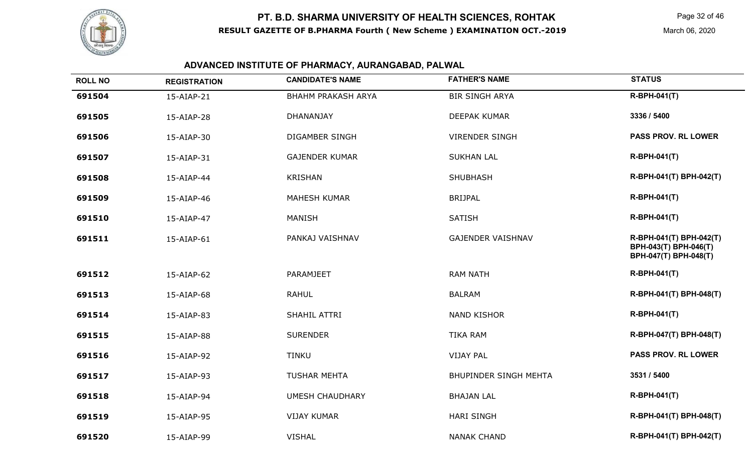

| <b>ROLL NO</b> | <b>REGISTRATION</b> | <b>CANDIDATE'S NAME</b>   | <b>FATHER'S NAME</b>         | <b>STATUS</b>                                                             |
|----------------|---------------------|---------------------------|------------------------------|---------------------------------------------------------------------------|
| 691504         | 15-AIAP-21          | <b>BHAHM PRAKASH ARYA</b> | <b>BIR SINGH ARYA</b>        | <b>R-BPH-041(T)</b>                                                       |
| 691505         | 15-AIAP-28          | <b>DHANANJAY</b>          | <b>DEEPAK KUMAR</b>          | 3336 / 5400                                                               |
| 691506         | 15-AIAP-30          | <b>DIGAMBER SINGH</b>     | <b>VIRENDER SINGH</b>        | <b>PASS PROV. RL LOWER</b>                                                |
| 691507         | 15-AIAP-31          | <b>GAJENDER KUMAR</b>     | <b>SUKHAN LAL</b>            | <b>R-BPH-041(T)</b>                                                       |
| 691508         | 15-AIAP-44          | <b>KRISHAN</b>            | <b>SHUBHASH</b>              | R-BPH-041(T) BPH-042(T)                                                   |
| 691509         | 15-AIAP-46          | <b>MAHESH KUMAR</b>       | <b>BRIJPAL</b>               | <b>R-BPH-041(T)</b>                                                       |
| 691510         | 15-AIAP-47          | <b>MANISH</b>             | <b>SATISH</b>                | <b>R-BPH-041(T)</b>                                                       |
| 691511         | 15-AIAP-61          | PANKAJ VAISHNAV           | <b>GAJENDER VAISHNAV</b>     | R-BPH-041(T) BPH-042(T)<br>BPH-043(T) BPH-046(T)<br>BPH-047(T) BPH-048(T) |
| 691512         | 15-AIAP-62          | <b>PARAMJEET</b>          | <b>RAM NATH</b>              | <b>R-BPH-041(T)</b>                                                       |
| 691513         | 15-AIAP-68          | <b>RAHUL</b>              | <b>BALRAM</b>                | R-BPH-041(T) BPH-048(T)                                                   |
| 691514         | 15-AIAP-83          | SHAHIL ATTRI              | <b>NAND KISHOR</b>           | <b>R-BPH-041(T)</b>                                                       |
| 691515         | 15-AIAP-88          | <b>SURENDER</b>           | <b>TIKA RAM</b>              | R-BPH-047(T) BPH-048(T)                                                   |
| 691516         | 15-AIAP-92          | <b>TINKU</b>              | <b>VIJAY PAL</b>             | PASS PROV. RL LOWER                                                       |
| 691517         | 15-AIAP-93          | <b>TUSHAR MEHTA</b>       | <b>BHUPINDER SINGH MEHTA</b> | 3531 / 5400                                                               |
| 691518         | 15-AIAP-94          | <b>UMESH CHAUDHARY</b>    | <b>BHAJAN LAL</b>            | <b>R-BPH-041(T)</b>                                                       |
| 691519         | 15-AIAP-95          | <b>VIJAY KUMAR</b>        | <b>HARI SINGH</b>            | R-BPH-041(T) BPH-048(T)                                                   |
| 691520         | 15-AIAP-99          | <b>VISHAL</b>             | <b>NANAK CHAND</b>           | R-BPH-041(T) BPH-042(T)                                                   |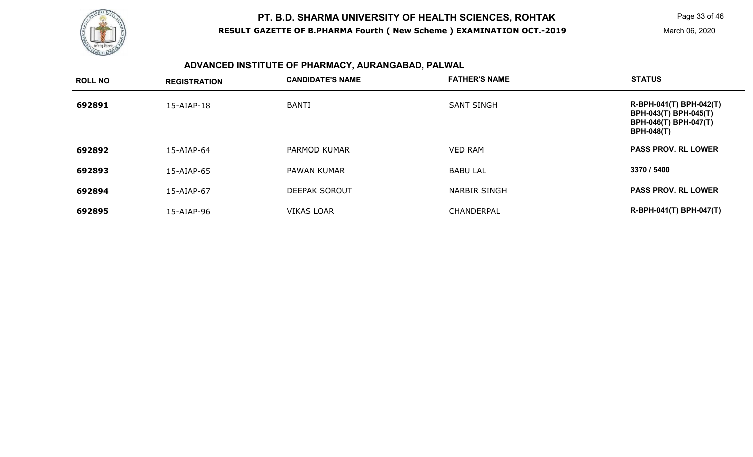

| <b>ROLL NO</b> | <b>REGISTRATION</b> | <b>CANDIDATE'S NAME</b> | <b>FATHER'S NAME</b> | <b>STATUS</b>                                                                                         |
|----------------|---------------------|-------------------------|----------------------|-------------------------------------------------------------------------------------------------------|
| 692891         | 15-AIAP-18          | <b>BANTI</b>            | <b>SANT SINGH</b>    | R-BPH-041(T) BPH-042(T)<br>BPH-043(T) BPH-045(T)<br><b>BPH-046(T) BPH-047(T)</b><br><b>BPH-048(T)</b> |
| 692892         | 15-AIAP-64          | PARMOD KUMAR            | <b>VED RAM</b>       | <b>PASS PROV. RL LOWER</b>                                                                            |
| 692893         | 15-AIAP-65          | PAWAN KUMAR             | <b>BABU LAL</b>      | 3370 / 5400                                                                                           |
| 692894         | 15-AIAP-67          | <b>DEEPAK SOROUT</b>    | <b>NARBIR SINGH</b>  | <b>PASS PROV. RL LOWER</b>                                                                            |
| 692895         | 15-AIAP-96          | <b>VIKAS LOAR</b>       | CHANDERPAL           | R-BPH-041(T) BPH-047(T)                                                                               |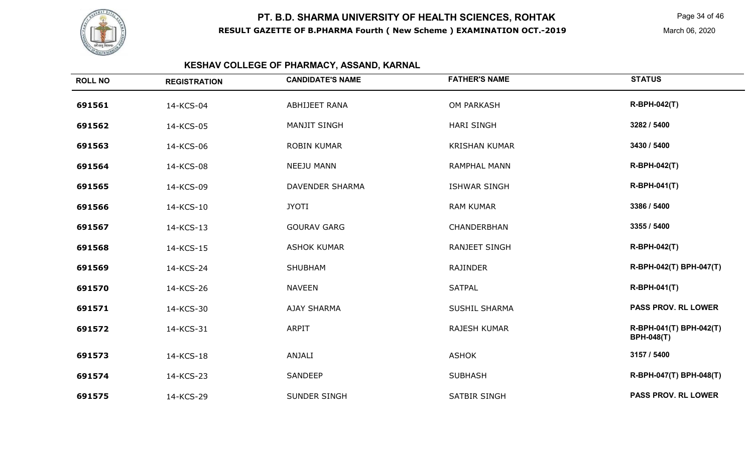

Page 34 of 46

March 06, 2020

## **KESHAV COLLEGE OF PHARMACY, ASSAND, KARNAL**

| <b>ROLL NO</b> | <b>REGISTRATION</b> | <b>CANDIDATE'S NAME</b> | <b>FATHER'S NAME</b> | <b>STATUS</b>                                |
|----------------|---------------------|-------------------------|----------------------|----------------------------------------------|
| 691561         | 14-KCS-04           | ABHIJEET RANA           | OM PARKASH           | <b>R-BPH-042(T)</b>                          |
| 691562         | 14-KCS-05           | <b>MANJIT SINGH</b>     | <b>HARI SINGH</b>    | 3282 / 5400                                  |
| 691563         | 14-KCS-06           | <b>ROBIN KUMAR</b>      | <b>KRISHAN KUMAR</b> | 3430 / 5400                                  |
| 691564         | 14-KCS-08           | <b>NEEJU MANN</b>       | <b>RAMPHAL MANN</b>  | <b>R-BPH-042(T)</b>                          |
| 691565         | 14-KCS-09           | <b>DAVENDER SHARMA</b>  | <b>ISHWAR SINGH</b>  | <b>R-BPH-041(T)</b>                          |
| 691566         | 14-KCS-10           | <b>JYOTI</b>            | <b>RAM KUMAR</b>     | 3386 / 5400                                  |
| 691567         | 14-KCS-13           | <b>GOURAV GARG</b>      | CHANDERBHAN          | 3355 / 5400                                  |
| 691568         | 14-KCS-15           | <b>ASHOK KUMAR</b>      | <b>RANJEET SINGH</b> | <b>R-BPH-042(T)</b>                          |
| 691569         | 14-KCS-24           | SHUBHAM                 | RAJINDER             | R-BPH-042(T) BPH-047(T)                      |
| 691570         | 14-KCS-26           | <b>NAVEEN</b>           | <b>SATPAL</b>        | <b>R-BPH-041(T)</b>                          |
| 691571         | 14-KCS-30           | <b>AJAY SHARMA</b>      | SUSHIL SHARMA        | <b>PASS PROV. RL LOWER</b>                   |
| 691572         | 14-KCS-31           | <b>ARPIT</b>            | <b>RAJESH KUMAR</b>  | R-BPH-041(T) BPH-042(T)<br><b>BPH-048(T)</b> |
| 691573         | 14-KCS-18           | ANJALI                  | <b>ASHOK</b>         | 3157 / 5400                                  |
| 691574         | 14-KCS-23           | SANDEEP                 | <b>SUBHASH</b>       | R-BPH-047(T) BPH-048(T)                      |
| 691575         | 14-KCS-29           | SUNDER SINGH            | <b>SATBIR SINGH</b>  | <b>PASS PROV. RL LOWER</b>                   |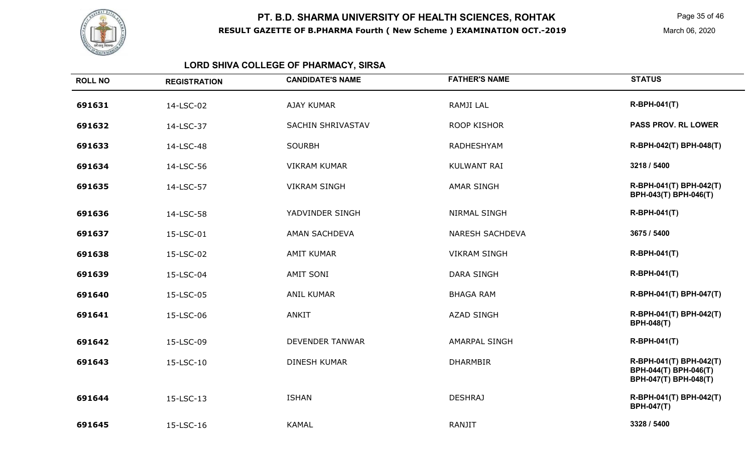

Page 35 of 46

March 06, 2020

# **LORD SHIVA COLLEGE OF PHARMACY, SIRSA**

| <b>ROLL NO</b> | <b>REGISTRATION</b> | <b>CANDIDATE'S NAME</b> | <b>FATHER'S NAME</b>   | <b>STATUS</b>                                                             |
|----------------|---------------------|-------------------------|------------------------|---------------------------------------------------------------------------|
| 691631         | 14-LSC-02           | <b>AJAY KUMAR</b>       | RAMJI LAL              | <b>R-BPH-041(T)</b>                                                       |
| 691632         | 14-LSC-37           | SACHIN SHRIVASTAV       | <b>ROOP KISHOR</b>     | <b>PASS PROV. RL LOWER</b>                                                |
| 691633         | 14-LSC-48           | <b>SOURBH</b>           | RADHESHYAM             | R-BPH-042(T) BPH-048(T)                                                   |
| 691634         | 14-LSC-56           | <b>VIKRAM KUMAR</b>     | <b>KULWANT RAI</b>     | 3218 / 5400                                                               |
| 691635         | 14-LSC-57           | <b>VIKRAM SINGH</b>     | <b>AMAR SINGH</b>      | R-BPH-041(T) BPH-042(T)<br>BPH-043(T) BPH-046(T)                          |
| 691636         | 14-LSC-58           | YADVINDER SINGH         | <b>NIRMAL SINGH</b>    | <b>R-BPH-041(T)</b>                                                       |
| 691637         | 15-LSC-01           | AMAN SACHDEVA           | <b>NARESH SACHDEVA</b> | 3675 / 5400                                                               |
| 691638         | 15-LSC-02           | <b>AMIT KUMAR</b>       | <b>VIKRAM SINGH</b>    | <b>R-BPH-041(T)</b>                                                       |
| 691639         | 15-LSC-04           | <b>AMIT SONI</b>        | <b>DARA SINGH</b>      | <b>R-BPH-041(T)</b>                                                       |
| 691640         | 15-LSC-05           | <b>ANIL KUMAR</b>       | <b>BHAGA RAM</b>       | R-BPH-041(T) BPH-047(T)                                                   |
| 691641         | 15-LSC-06           | <b>ANKIT</b>            | <b>AZAD SINGH</b>      | R-BPH-041(T) BPH-042(T)<br><b>BPH-048(T)</b>                              |
| 691642         | 15-LSC-09           | <b>DEVENDER TANWAR</b>  | <b>AMARPAL SINGH</b>   | <b>R-BPH-041(T)</b>                                                       |
| 691643         | 15-LSC-10           | <b>DINESH KUMAR</b>     | <b>DHARMBIR</b>        | R-BPH-041(T) BPH-042(T)<br>BPH-044(T) BPH-046(T)<br>BPH-047(T) BPH-048(T) |
| 691644         | 15-LSC-13           | <b>ISHAN</b>            | <b>DESHRAJ</b>         | R-BPH-041(T) BPH-042(T)<br><b>BPH-047(T)</b>                              |
| 691645         | 15-LSC-16           | <b>KAMAL</b>            | RANJIT                 | 3328 / 5400                                                               |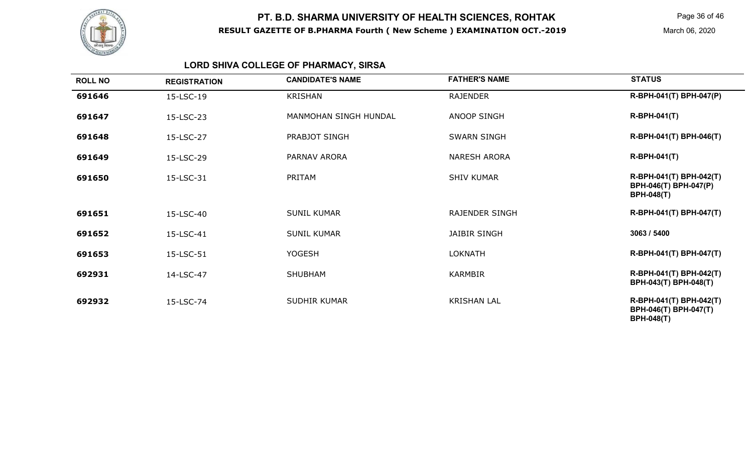

Page 36 of 46

March 06, 2020

## **LORD SHIVA COLLEGE OF PHARMACY, SIRSA**

| <b>ROLL NO</b> | <b>REGISTRATION</b> | <b>CANDIDATE'S NAME</b> | <b>FATHER'S NAME</b>  | <b>STATUS</b>                                                         |
|----------------|---------------------|-------------------------|-----------------------|-----------------------------------------------------------------------|
| 691646         | 15-LSC-19           | <b>KRISHAN</b>          | <b>RAJENDER</b>       | R-BPH-041(T) BPH-047(P)                                               |
| 691647         | 15-LSC-23           | MANMOHAN SINGH HUNDAL   | <b>ANOOP SINGH</b>    | <b>R-BPH-041(T)</b>                                                   |
| 691648         | 15-LSC-27           | PRABJOT SINGH           | <b>SWARN SINGH</b>    | R-BPH-041(T) BPH-046(T)                                               |
| 691649         | 15-LSC-29           | PARNAV ARORA            | <b>NARESH ARORA</b>   | <b>R-BPH-041(T)</b>                                                   |
| 691650         | 15-LSC-31           | PRITAM                  | <b>SHIV KUMAR</b>     | R-BPH-041(T) BPH-042(T)<br>BPH-046(T) BPH-047(P)<br><b>BPH-048(T)</b> |
| 691651         | 15-LSC-40           | <b>SUNIL KUMAR</b>      | <b>RAJENDER SINGH</b> | R-BPH-041(T) BPH-047(T)                                               |
| 691652         | 15-LSC-41           | <b>SUNIL KUMAR</b>      | <b>JAIBIR SINGH</b>   | 3063 / 5400                                                           |
| 691653         | 15-LSC-51           | <b>YOGESH</b>           | <b>LOKNATH</b>        | R-BPH-041(T) BPH-047(T)                                               |
| 692931         | 14-LSC-47           | <b>SHUBHAM</b>          | <b>KARMBIR</b>        | R-BPH-041(T) BPH-042(T)<br>BPH-043(T) BPH-048(T)                      |
| 692932         | 15-LSC-74           | <b>SUDHIR KUMAR</b>     | <b>KRISHAN LAL</b>    | R-BPH-041(T) BPH-042(T)<br>BPH-046(T) BPH-047(T)<br><b>BPH-048(T)</b> |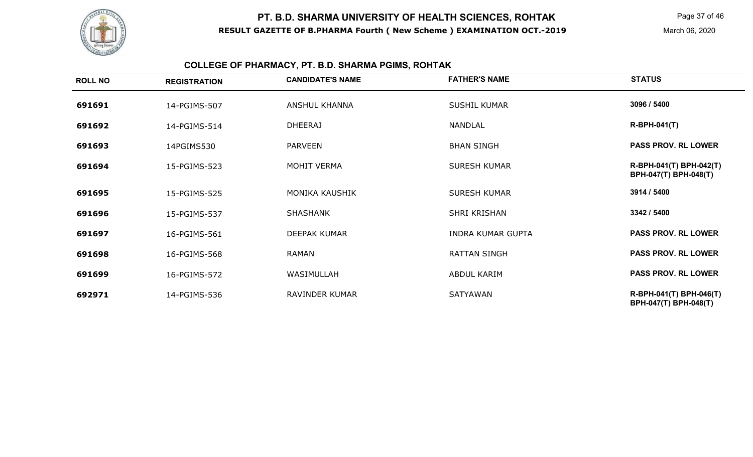

Page 37 of 46

March 06, 2020

## **COLLEGE OF PHARMACY, PT. B.D. SHARMA PGIMS, ROHTAK**

| <b>ROLL NO</b> | <b>REGISTRATION</b> | <b>CANDIDATE'S NAME</b> | <b>FATHER'S NAME</b>     | <b>STATUS</b>                                    |
|----------------|---------------------|-------------------------|--------------------------|--------------------------------------------------|
| 691691         | 14-PGIMS-507        | <b>ANSHUL KHANNA</b>    | <b>SUSHIL KUMAR</b>      | 3096 / 5400                                      |
| 691692         | 14-PGIMS-514        | <b>DHEERAJ</b>          | NANDLAL                  | <b>R-BPH-041(T)</b>                              |
| 691693         | 14PGIMS530          | <b>PARVEEN</b>          | <b>BHAN SINGH</b>        | <b>PASS PROV. RL LOWER</b>                       |
| 691694         | 15-PGIMS-523        | MOHIT VERMA             | <b>SURESH KUMAR</b>      | R-BPH-041(T) BPH-042(T)<br>BPH-047(T) BPH-048(T) |
| 691695         | 15-PGIMS-525        | <b>MONIKA KAUSHIK</b>   | <b>SURESH KUMAR</b>      | 3914 / 5400                                      |
| 691696         | 15-PGIMS-537        | <b>SHASHANK</b>         | SHRI KRISHAN             | 3342 / 5400                                      |
| 691697         | 16-PGIMS-561        | <b>DEEPAK KUMAR</b>     | <b>INDRA KUMAR GUPTA</b> | <b>PASS PROV. RL LOWER</b>                       |
| 691698         | 16-PGIMS-568        | RAMAN                   | <b>RATTAN SINGH</b>      | <b>PASS PROV. RL LOWER</b>                       |
| 691699         | 16-PGIMS-572        | WASIMULLAH              | ABDUL KARIM              | <b>PASS PROV. RL LOWER</b>                       |
| 692971         | 14-PGIMS-536        | RAVINDER KUMAR          | <b>SATYAWAN</b>          | R-BPH-041(T) BPH-046(T)<br>BPH-047(T) BPH-048(T) |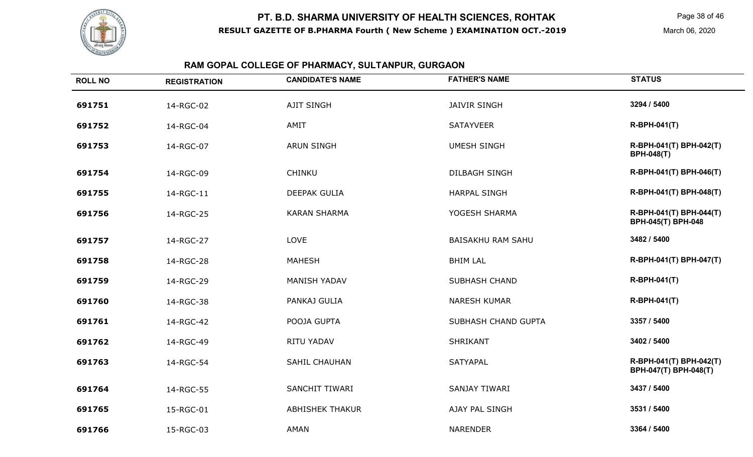

Page 38 of 46

## **RAM GOPAL COLLEGE OF PHARMACY, SULTANPUR, GURGAON**

| <b>ROLL NO</b> | <b>REGISTRATION</b> | <b>CANDIDATE'S NAME</b> | <b>FATHER'S NAME</b>     | <b>STATUS</b>                                        |
|----------------|---------------------|-------------------------|--------------------------|------------------------------------------------------|
| 691751         | 14-RGC-02           | <b>AJIT SINGH</b>       | <b>JAIVIR SINGH</b>      | 3294 / 5400                                          |
| 691752         | 14-RGC-04           | AMIT                    | <b>SATAYVEER</b>         | <b>R-BPH-041(T)</b>                                  |
| 691753         | 14-RGC-07           | <b>ARUN SINGH</b>       | <b>UMESH SINGH</b>       | R-BPH-041(T) BPH-042(T)<br><b>BPH-048(T)</b>         |
| 691754         | 14-RGC-09           | CHINKU                  | <b>DILBAGH SINGH</b>     | R-BPH-041(T) BPH-046(T)                              |
| 691755         | 14-RGC-11           | DEEPAK GULIA            | <b>HARPAL SINGH</b>      | R-BPH-041(T) BPH-048(T)                              |
| 691756         | 14-RGC-25           | <b>KARAN SHARMA</b>     | YOGESH SHARMA            | R-BPH-041(T) BPH-044(T)<br><b>BPH-045(T) BPH-048</b> |
| 691757         | 14-RGC-27           | LOVE                    | <b>BAISAKHU RAM SAHU</b> | 3482 / 5400                                          |
| 691758         | 14-RGC-28           | <b>MAHESH</b>           | <b>BHIM LAL</b>          | R-BPH-041(T) BPH-047(T)                              |
| 691759         | 14-RGC-29           | <b>MANISH YADAV</b>     | <b>SUBHASH CHAND</b>     | <b>R-BPH-041(T)</b>                                  |
| 691760         | 14-RGC-38           | PANKAJ GULIA            | <b>NARESH KUMAR</b>      | <b>R-BPH-041(T)</b>                                  |
| 691761         | 14-RGC-42           | POOJA GUPTA             | SUBHASH CHAND GUPTA      | 3357 / 5400                                          |
| 691762         | 14-RGC-49           | RITU YADAV              | <b>SHRIKANT</b>          | 3402 / 5400                                          |
| 691763         | 14-RGC-54           | <b>SAHIL CHAUHAN</b>    | <b>SATYAPAL</b>          | R-BPH-041(T) BPH-042(T)<br>BPH-047(T) BPH-048(T)     |
| 691764         | 14-RGC-55           | SANCHIT TIWARI          | SANJAY TIWARI            | 3437 / 5400                                          |
| 691765         | 15-RGC-01           | <b>ABHISHEK THAKUR</b>  | AJAY PAL SINGH           | 3531 / 5400                                          |
| 691766         | 15-RGC-03           | AMAN                    | <b>NARENDER</b>          | 3364 / 5400                                          |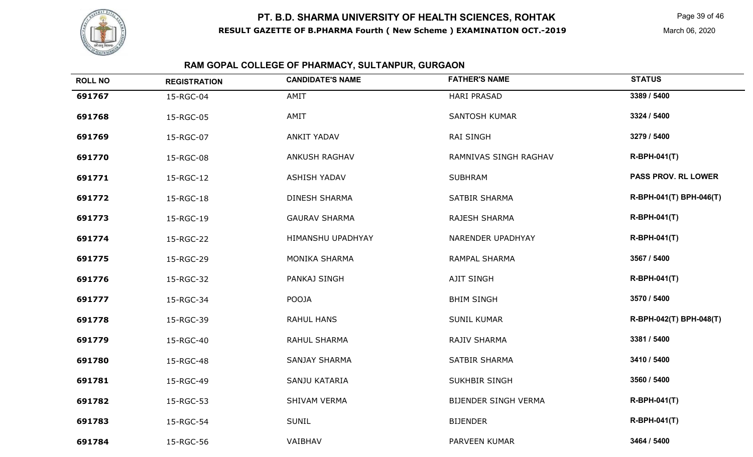

Page 39 of 46

March 06, 2020

## **RAM GOPAL COLLEGE OF PHARMACY, SULTANPUR, GURGAON**

| <b>ROLL NO</b> | <b>REGISTRATION</b> | <b>CANDIDATE'S NAME</b> | <b>FATHER'S NAME</b>  | <b>STATUS</b>              |
|----------------|---------------------|-------------------------|-----------------------|----------------------------|
| 691767         | 15-RGC-04           | AMIT                    | <b>HARI PRASAD</b>    | 3389 / 5400                |
| 691768         | 15-RGC-05           | AMIT                    | <b>SANTOSH KUMAR</b>  | 3324 / 5400                |
| 691769         | 15-RGC-07           | <b>ANKIT YADAV</b>      | <b>RAI SINGH</b>      | 3279 / 5400                |
| 691770         | 15-RGC-08           | <b>ANKUSH RAGHAV</b>    | RAMNIVAS SINGH RAGHAV | <b>R-BPH-041(T)</b>        |
| 691771         | 15-RGC-12           | <b>ASHISH YADAV</b>     | <b>SUBHRAM</b>        | <b>PASS PROV. RL LOWER</b> |
| 691772         | 15-RGC-18           | <b>DINESH SHARMA</b>    | SATBIR SHARMA         | R-BPH-041(T) BPH-046(T)    |
| 691773         | 15-RGC-19           | <b>GAURAV SHARMA</b>    | RAJESH SHARMA         | <b>R-BPH-041(T)</b>        |
| 691774         | 15-RGC-22           | HIMANSHU UPADHYAY       | NARENDER UPADHYAY     | <b>R-BPH-041(T)</b>        |
| 691775         | 15-RGC-29           | <b>MONIKA SHARMA</b>    | <b>RAMPAL SHARMA</b>  | 3567 / 5400                |
| 691776         | 15-RGC-32           | PANKAJ SINGH            | <b>AJIT SINGH</b>     | <b>R-BPH-041(T)</b>        |
| 691777         | 15-RGC-34           | <b>POOJA</b>            | <b>BHIM SINGH</b>     | 3570 / 5400                |
| 691778         | 15-RGC-39           | <b>RAHUL HANS</b>       | <b>SUNIL KUMAR</b>    | R-BPH-042(T) BPH-048(T)    |
| 691779         | 15-RGC-40           | RAHUL SHARMA            | RAJIV SHARMA          | 3381 / 5400                |
| 691780         | 15-RGC-48           | <b>SANJAY SHARMA</b>    | SATBIR SHARMA         | 3410 / 5400                |
| 691781         | 15-RGC-49           | SANJU KATARIA           | <b>SUKHBIR SINGH</b>  | 3560 / 5400                |
| 691782         | 15-RGC-53           | SHIVAM VERMA            | BIJENDER SINGH VERMA  | <b>R-BPH-041(T)</b>        |
| 691783         | 15-RGC-54           | <b>SUNIL</b>            | <b>BIJENDER</b>       | R-BPH-041(T)               |
| 691784         | 15-RGC-56           | VAIBHAV                 | PARVEEN KUMAR         | 3464 / 5400                |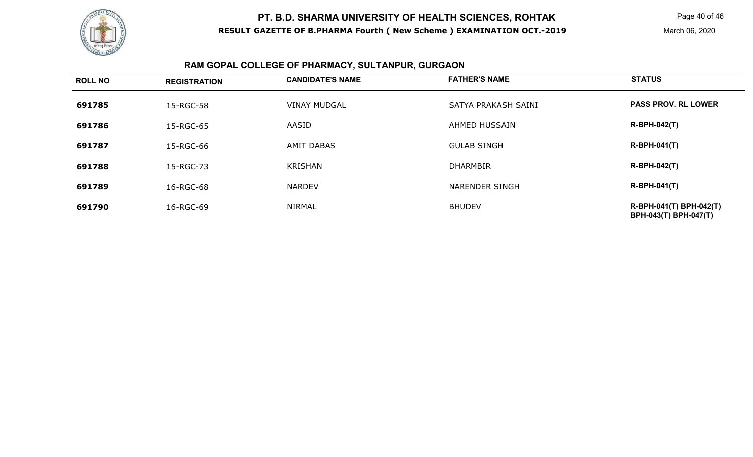

Page 40 of 46

March 06, 2020

## **RAM GOPAL COLLEGE OF PHARMACY, SULTANPUR, GURGAON**

| <b>ROLL NO</b> | <b>REGISTRATION</b> | <b>CANDIDATE'S NAME</b> | <b>FATHER'S NAME</b>  | <b>STATUS</b>                                    |
|----------------|---------------------|-------------------------|-----------------------|--------------------------------------------------|
| 691785         | 15-RGC-58           | <b>VINAY MUDGAL</b>     | SATYA PRAKASH SAINI   | <b>PASS PROV. RL LOWER</b>                       |
| 691786         | 15-RGC-65           | AASID                   | <b>AHMED HUSSAIN</b>  | <b>R-BPH-042(T)</b>                              |
| 691787         | 15-RGC-66           | <b>AMIT DABAS</b>       | <b>GULAB SINGH</b>    | $R-BPH-041(T)$                                   |
| 691788         | 15-RGC-73           | <b>KRISHAN</b>          | <b>DHARMBIR</b>       | <b>R-BPH-042(T)</b>                              |
| 691789         | 16-RGC-68           | <b>NARDEV</b>           | <b>NARENDER SINGH</b> | $R-BPH-041(T)$                                   |
| 691790         | 16-RGC-69           | <b>NIRMAL</b>           | <b>BHUDEV</b>         | R-BPH-041(T) BPH-042(T)<br>BPH-043(T) BPH-047(T) |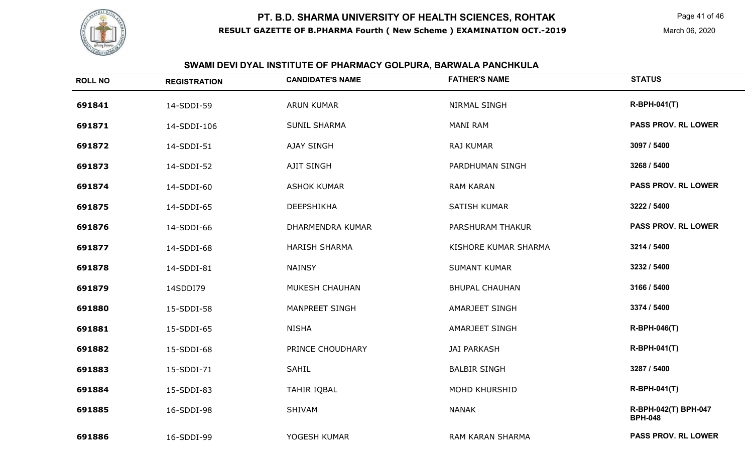

Page 41 of 46

## **SWAMI DEVI DYAL INSTITUTE OF PHARMACY GOLPURA, BARWALA PANCHKULA**

| <b>ROLL NO</b> | <b>REGISTRATION</b> | <b>CANDIDATE'S NAME</b> | <b>FATHER'S NAME</b>  | <b>STATUS</b>                          |
|----------------|---------------------|-------------------------|-----------------------|----------------------------------------|
| 691841         | 14-SDDI-59          | <b>ARUN KUMAR</b>       | NIRMAL SINGH          | <b>R-BPH-041(T)</b>                    |
| 691871         | 14-SDDI-106         | <b>SUNIL SHARMA</b>     | <b>MANI RAM</b>       | <b>PASS PROV. RL LOWER</b>             |
| 691872         | 14-SDDI-51          | AJAY SINGH              | RAJ KUMAR             | 3097 / 5400                            |
| 691873         | 14-SDDI-52          | AJIT SINGH              | PARDHUMAN SINGH       | 3268 / 5400                            |
| 691874         | 14-SDDI-60          | <b>ASHOK KUMAR</b>      | <b>RAM KARAN</b>      | <b>PASS PROV. RL LOWER</b>             |
| 691875         | 14-SDDI-65          | DEEPSHIKHA              | SATISH KUMAR          | 3222 / 5400                            |
| 691876         | 14-SDDI-66          | DHARMENDRA KUMAR        | PARSHURAM THAKUR      | <b>PASS PROV. RL LOWER</b>             |
| 691877         | 14-SDDI-68          | <b>HARISH SHARMA</b>    | KISHORE KUMAR SHARMA  | 3214 / 5400                            |
| 691878         | 14-SDDI-81          | <b>NAINSY</b>           | <b>SUMANT KUMAR</b>   | 3232 / 5400                            |
| 691879         | 14SDDI79            | MUKESH CHAUHAN          | <b>BHUPAL CHAUHAN</b> | 3166 / 5400                            |
| 691880         | 15-SDDI-58          | MANPREET SINGH          | <b>AMARJEET SINGH</b> | 3374 / 5400                            |
| 691881         | 15-SDDI-65          | <b>NISHA</b>            | <b>AMARJEET SINGH</b> | <b>R-BPH-046(T)</b>                    |
| 691882         | 15-SDDI-68          | PRINCE CHOUDHARY        | <b>JAI PARKASH</b>    | <b>R-BPH-041(T)</b>                    |
| 691883         | 15-SDDI-71          | <b>SAHIL</b>            | <b>BALBIR SINGH</b>   | 3287 / 5400                            |
| 691884         | 15-SDDI-83          | <b>TAHIR IQBAL</b>      | <b>MOHD KHURSHID</b>  | <b>R-BPH-041(T)</b>                    |
| 691885         | 16-SDDI-98          | SHIVAM                  | <b>NANAK</b>          | R-BPH-042(T) BPH-047<br><b>BPH-048</b> |
| 691886         | 16-SDDI-99          | YOGESH KUMAR            | RAM KARAN SHARMA      | <b>PASS PROV. RL LOWER</b>             |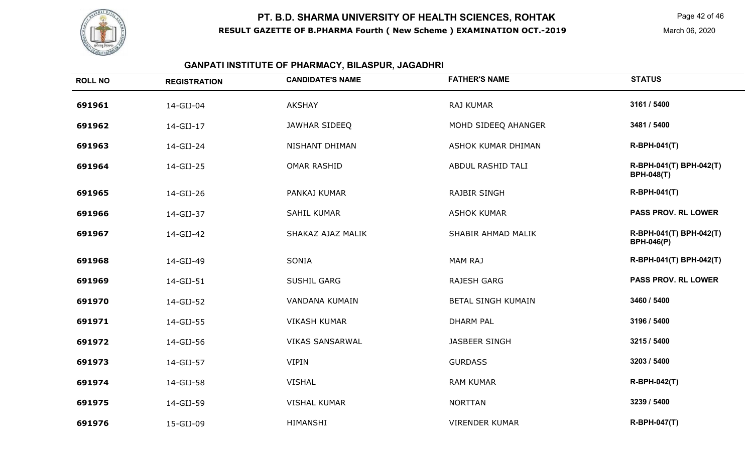

#### **GANPATI INSTITUTE OF PHARMACY, BILASPUR, JAGADHRI**

| <b>ROLL NO</b> | <b>REGISTRATION</b> | <b>CANDIDATE'S NAME</b> | <b>FATHER'S NAME</b>      | <b>STATUS</b>                                |
|----------------|---------------------|-------------------------|---------------------------|----------------------------------------------|
| 691961         | 14-GIJ-04           | <b>AKSHAY</b>           | RAJ KUMAR                 | 3161 / 5400                                  |
| 691962         | 14-GIJ-17           | JAWHAR SIDEEQ           | MOHD SIDEEQ AHANGER       | 3481 / 5400                                  |
| 691963         | 14-GIJ-24           | NISHANT DHIMAN          | ASHOK KUMAR DHIMAN        | <b>R-BPH-041(T)</b>                          |
| 691964         | 14-GIJ-25           | <b>OMAR RASHID</b>      | ABDUL RASHID TALI         | R-BPH-041(T) BPH-042(T)<br><b>BPH-048(T)</b> |
| 691965         | 14-GIJ-26           | PANKAJ KUMAR            | <b>RAJBIR SINGH</b>       | <b>R-BPH-041(T)</b>                          |
| 691966         | 14-GIJ-37           | <b>SAHIL KUMAR</b>      | <b>ASHOK KUMAR</b>        | <b>PASS PROV. RL LOWER</b>                   |
| 691967         | 14-GIJ-42           | SHAKAZ AJAZ MALIK       | SHABIR AHMAD MALIK        | R-BPH-041(T) BPH-042(T)<br><b>BPH-046(P)</b> |
| 691968         | 14-GIJ-49           | SONIA                   | <b>MAM RAJ</b>            | R-BPH-041(T) BPH-042(T)                      |
| 691969         | 14-GIJ-51           | SUSHIL GARG             | <b>RAJESH GARG</b>        | <b>PASS PROV. RL LOWER</b>                   |
| 691970         | 14-GIJ-52           | VANDANA KUMAIN          | <b>BETAL SINGH KUMAIN</b> | 3460 / 5400                                  |
| 691971         | 14-GIJ-55           | <b>VIKASH KUMAR</b>     | <b>DHARM PAL</b>          | 3196 / 5400                                  |
| 691972         | 14-GIJ-56           | <b>VIKAS SANSARWAL</b>  | JASBEER SINGH             | 3215 / 5400                                  |
| 691973         | 14-GIJ-57           | <b>VIPIN</b>            | <b>GURDASS</b>            | 3203 / 5400                                  |
| 691974         | 14-GIJ-58           | <b>VISHAL</b>           | <b>RAM KUMAR</b>          | <b>R-BPH-042(T)</b>                          |
| 691975         | 14-GIJ-59           | <b>VISHAL KUMAR</b>     | <b>NORTTAN</b>            | 3239 / 5400                                  |
| 691976         | 15-GIJ-09           | <b>HIMANSHI</b>         | <b>VIRENDER KUMAR</b>     | R-BPH-047(T)                                 |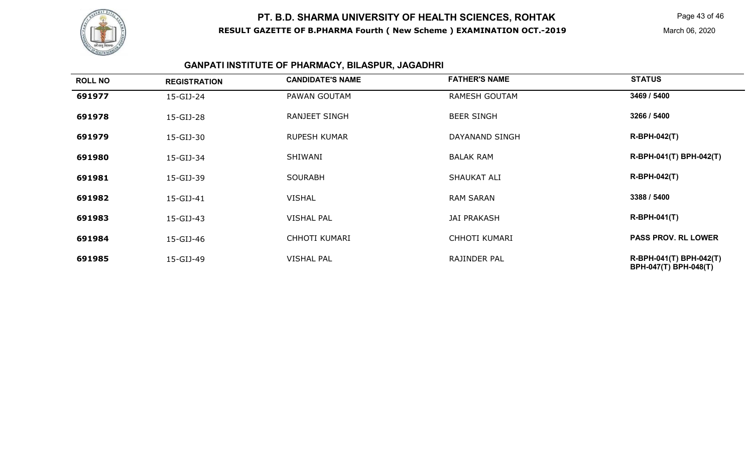

Page 43 of 46

March 06, 2020

#### **GANPATI INSTITUTE OF PHARMACY, BILASPUR, JAGADHRI**

| <b>ROLL NO</b> | <b>REGISTRATION</b> | <b>CANDIDATE'S NAME</b> | <b>FATHER'S NAME</b> | <b>STATUS</b>                                    |
|----------------|---------------------|-------------------------|----------------------|--------------------------------------------------|
| 691977         | 15-GIJ-24           | PAWAN GOUTAM            | <b>RAMESH GOUTAM</b> | 3469 / 5400                                      |
| 691978         | 15-GIJ-28           | <b>RANJEET SINGH</b>    | <b>BEER SINGH</b>    | 3266 / 5400                                      |
| 691979         | 15-GIJ-30           | <b>RUPESH KUMAR</b>     | DAYANAND SINGH       | <b>R-BPH-042(T)</b>                              |
| 691980         | 15-GIJ-34           | SHIWANI                 | <b>BALAK RAM</b>     | R-BPH-041(T) BPH-042(T)                          |
| 691981         | 15-GIJ-39           | <b>SOURABH</b>          | SHAUKAT ALI          | $R-BPH-042(T)$                                   |
| 691982         | 15-GIJ-41           | <b>VISHAL</b>           | <b>RAM SARAN</b>     | 3388 / 5400                                      |
| 691983         | 15-GIJ-43           | <b>VISHAL PAL</b>       | <b>JAI PRAKASH</b>   | $R-BPH-041(T)$                                   |
| 691984         | 15-GIJ-46           | <b>CHHOTI KUMARI</b>    | CHHOTI KUMARI        | <b>PASS PROV. RL LOWER</b>                       |
| 691985         | 15-GIJ-49           | <b>VISHAL PAL</b>       | RAJINDER PAL         | R-BPH-041(T) BPH-042(T)<br>BPH-047(T) BPH-048(T) |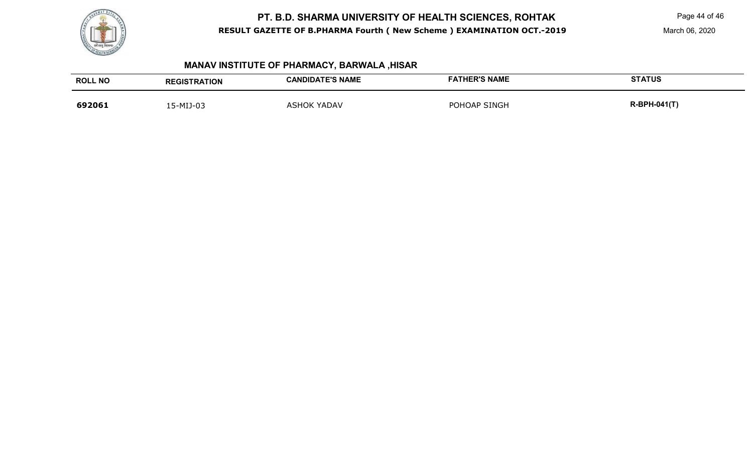

Page 44 of 46

March 06, 2020

## **MANAV INSTITUTE OF PHARMACY, BARWALA ,HISAR**

| <b>ROLL NO</b> | <b>REGISTRATION</b> | <b>CANDIDATE'S NAME</b> | <b>FATHER'S NAME</b> | <b>STATUS</b>       |
|----------------|---------------------|-------------------------|----------------------|---------------------|
| 692061         | 15-MIJ-03           | <b>ASHOK YADAV</b>      | POHOAP SINGH         | <b>R-BPH-041(T)</b> |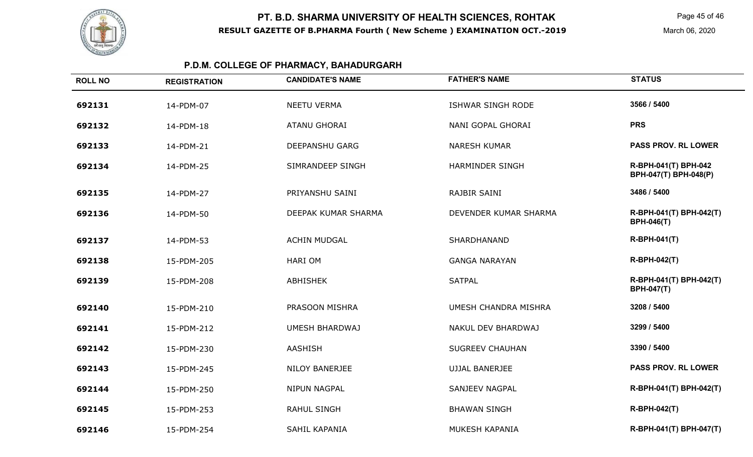

Page 45 of 46

March 06, 2020

## **P.D.M. COLLEGE OF PHARMACY, BAHADURGARH**

| <b>ROLL NO</b> | <b>REGISTRATION</b> | <b>CANDIDATE'S NAME</b> | <b>FATHER'S NAME</b>        | <b>STATUS</b>                                 |
|----------------|---------------------|-------------------------|-----------------------------|-----------------------------------------------|
| 692131         | 14-PDM-07           | <b>NEETU VERMA</b>      | ISHWAR SINGH RODE           | 3566 / 5400                                   |
| 692132         | 14-PDM-18           | <b>ATANU GHORAI</b>     | NANI GOPAL GHORAI           | <b>PRS</b>                                    |
| 692133         | 14-PDM-21           | <b>DEEPANSHU GARG</b>   | <b>NARESH KUMAR</b>         | <b>PASS PROV. RL LOWER</b>                    |
| 692134         | 14-PDM-25           | SIMRANDEEP SINGH        | <b>HARMINDER SINGH</b>      | R-BPH-041(T) BPH-042<br>BPH-047(T) BPH-048(P) |
| 692135         | 14-PDM-27           | PRIYANSHU SAINI         | RAJBIR SAINI                | 3486 / 5400                                   |
| 692136         | 14-PDM-50           | DEEPAK KUMAR SHARMA     | DEVENDER KUMAR SHARMA       | R-BPH-041(T) BPH-042(T)<br><b>BPH-046(T)</b>  |
| 692137         | 14-PDM-53           | <b>ACHIN MUDGAL</b>     | <b>SHARDHANAND</b>          | <b>R-BPH-041(T)</b>                           |
| 692138         | 15-PDM-205          | <b>HARIOM</b>           | <b>GANGA NARAYAN</b>        | R-BPH-042(T)                                  |
| 692139         | 15-PDM-208          | <b>ABHISHEK</b>         | <b>SATPAL</b>               | R-BPH-041(T) BPH-042(T)<br><b>BPH-047(T)</b>  |
| 692140         | 15-PDM-210          | PRASOON MISHRA          | <b>UMESH CHANDRA MISHRA</b> | 3208 / 5400                                   |
| 692141         | 15-PDM-212          | <b>UMESH BHARDWAJ</b>   | NAKUL DEV BHARDWAJ          | 3299 / 5400                                   |
| 692142         | 15-PDM-230          | AASHISH                 | <b>SUGREEV CHAUHAN</b>      | 3390 / 5400                                   |
| 692143         | 15-PDM-245          | NILOY BANERJEE          | <b>UJJAL BANERJEE</b>       | PASS PROV. RL LOWER                           |
| 692144         | 15-PDM-250          | NIPUN NAGPAL            | <b>SANJEEV NAGPAL</b>       | R-BPH-041(T) BPH-042(T)                       |
| 692145         | 15-PDM-253          | <b>RAHUL SINGH</b>      | <b>BHAWAN SINGH</b>         | R-BPH-042(T)                                  |
| 692146         | 15-PDM-254          | SAHIL KAPANIA           | MUKESH KAPANIA              | R-BPH-041(T) BPH-047(T)                       |